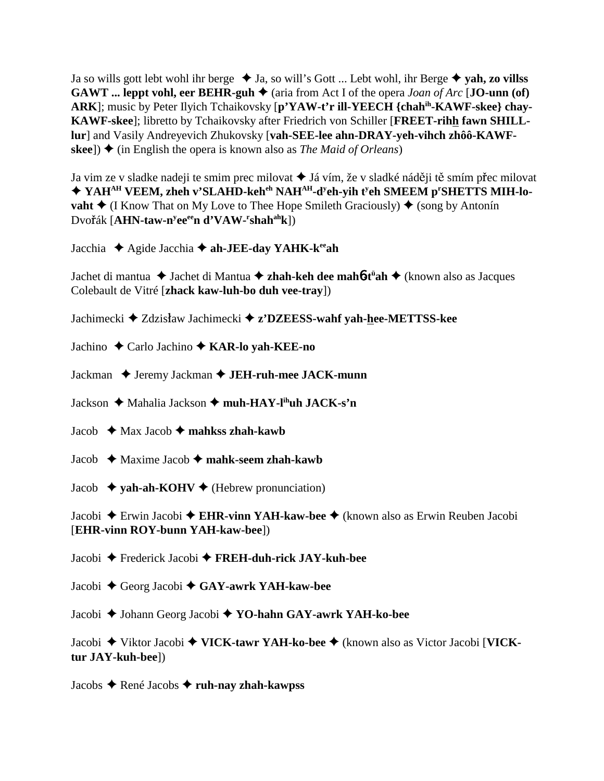Ja so wills gott lebt wohl ihr berge  $\triangleleft$  Ja, so will's Gott ... Lebt wohl, ihr Berge  $\triangleleft$  yah, zo villss **GAWT** ... leppt vohl, eer BEHR-guh  $\blacklozenge$  (aria from Act I of the opera *Joan of Arc* [**JO-unn** (of) **ARK**]; music by Peter Ilyich Tchaikovsky [**p'YAW-t'r ill-YEECH {chahih-KAWF-skee} chay-KAWF-skee**]; libretto by Tchaikovsky after Friedrich von Schiller [**FREET-rihh fawn SHILLlur**] and Vasily Andreyevich Zhukovsky [**vah-SEE-lee ahn-DRAY-yeh-vihch zhôô-KAWFskee**])  $\triangle$  (in English the opera is known also as *The Maid of Orleans*)

Ja vim ze v sladke nadeji te smim prec milovat ◆ Já vím, že v sladké náději tě smím přec milovat ◆ YAH<sup>AH</sup> VEEM, zheh v'SLAHD-keh<sup>eh</sup> NAH<sup>AH</sup>-d<sup>y</sup>eh-yih t<sup>y</sup>eh SMEEM p<sup>r</sup>SHETTS MIH-lo**vaht ♦** (I Know That on My Love to Thee Hope Smileth Graciously) ♦ (song by Antonín Dvo<mark>ř</mark>ák [**AHN-taw-n<sup>y</sup>ee<sup>ee</sup>n d'VAW-<sup>r</sup>shah<sup>ah</sup>k**])

Jacchia Agide Jacchia **ah-JEE-day YAHK-keeah**

Jachet di mantua Jachet di Mantua **zhah-keh dee mah**6**-tü ah** (known also as Jacques Colebault de Vitré [**zhack kaw-luh-bo duh vee-tray**])

Jachimecki **→** Zdzisław Jachimecki **→ z'DZEESS-wahf yah-hee-METTSS-kee** 

Jachino Carlo Jachino **KAR-lo yah-KEE-no**

Jackman ◆ Jeremy Jackman **◆ JEH-ruh-mee JACK-munn** 

Jackson **→** Mahalia Jackson → muh-HAY-l<sup>ih</sup>uh JACK-s'n

Jacob  $\triangleleft$  Max Jacob  $\triangleleft$  mahkss zhah-kawb

Jacob  $\triangleleft$  Maxime Jacob  $\triangleleft$  **mahk-seem zhah-kawb** 

Jacob  $\rightarrow$  yah-ah-KOHV  $\rightarrow$  (Hebrew pronunciation)

Jacobi Erwin Jacobi **EHR-vinn YAH-kaw-bee** (known also as Erwin Reuben Jacobi [**EHR-vinn ROY-bunn YAH-kaw-bee**])

Jacobi Frederick Jacobi **FREH-duh-rick JAY-kuh-bee**

Jacobi Georg Jacobi **GAY-awrk YAH-kaw-bee**

Jacobi Johann Georg Jacobi  **YO-hahn GAY-awrk YAH-ko-bee**

Jacobi Viktor Jacobi **VICK-tawr YAH-ko-bee** (known also as Victor Jacobi [**VICKtur JAY-kuh-bee**])

Jacobs René Jacobs **ruh-nay zhah-kawpss**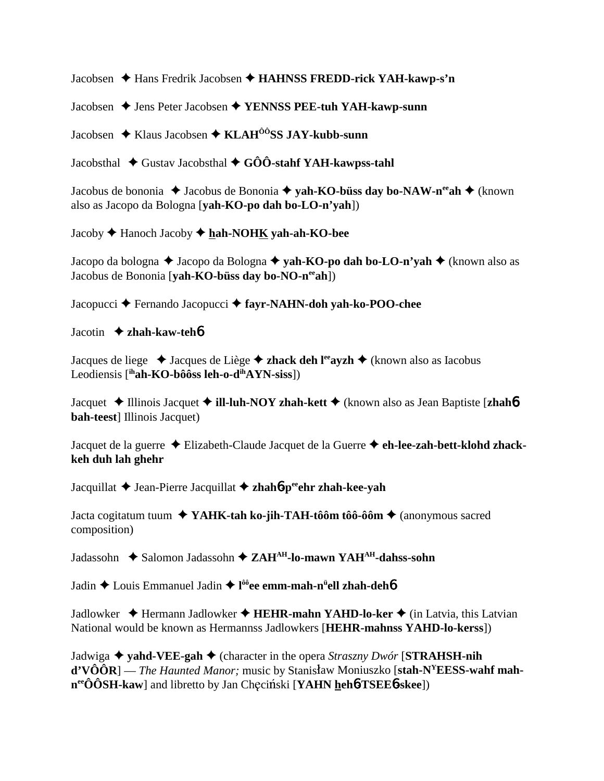Jacobsen Hans Fredrik Jacobsen **HAHNSS FREDD-rick YAH-kawp-s'n**

Jacobsen **→** Jens Peter Jacobsen ◆ **YENNSS PEE-tuh YAH-kawp-sunn** 

Jacobsen ◆ Klaus Jacobsen ◆ KLAH<sup>ôô</sup>SS JAY-kubb-sunn

Jacobsthal  $\blacklozenge$  Gustav Jacobsthal  $\blacklozenge$  GÔÔ-stahf YAH-kawpss-tahl

Jacobus de bononia ◆ Jacobus de Bononia ◆ yah-KO-büss day bo-NAW-n<sup>ee</sup>ah ◆ (known also as Jacopo da Bologna [**yah-KO-po dah bo-LO-n'yah**])

Jacoby Hanoch Jacoby **hah-NOHK yah-ah-KO-bee**

Jacopo da bologna **→** Jacopo da Bologna **→ vah-KO-po dah bo-LO-n'yah →** (known also as Jacobus de Bononia [**yah-KO-büss day bo-NO-n<sup>ee</sup>ah**])

Jacopucci Fernando Jacopucci **fayr-NAHN-doh yah-ko-POO-chee**

Jacotin **zhah-kaw-teh**6

Jacques de liege Jacques de Liège **zhack deh leeayzh** (known also as Iacobus Leodiensis [**ihah-KO-bôôss leh-o-dihAYN-siss**])

Jacquet **→** Illinois Jacquet → **ill-luh-NOY zhah-kett** → (known also as Jean Baptiste [**zhah**6 **bah-teest**] Illinois Jacquet)

Jacquet de la guerre Elizabeth-Claude Jacquet de la Guerre **eh-lee-zah-bett-klohd zhackkeh duh lah ghehr**

Jacquillat Jean-Pierre Jacquillat **zhah**6**-peeehr zhah-kee-yah**

Jacta cogitatum tuum **YAHK-tah ko-jih-TAH-tôôm tôô-ôôm** (anonymous sacred composition)

Jadassohn  $\triangle$  Salomon Jadassohn  $\triangle$  ZAH<sup>AH</sup>-lo-mawn YAH<sup>AH</sup>-dahss-sohn

Jadin Louis Emmanuel Jadin **l ôôee emm-mah-nü ell zhah-deh**6

Jadlowker ◆ Hermann Jadlowker ◆ **HEHR-mahn YAHD-lo-ker** ◆ (in Latvia, this Latvian National would be known as Hermannss Jadlowkers [**HEHR-mahnss YAHD-lo-kerss**])

Jadwiga **yahd-VEE-gah** (character in the opera *Straszny Dwór* [**STRAHSH-nih d'VÔÔR**] — *The Haunted Manor*; music by Stanisław Moniuszko [stah-N<sup>Y</sup>EESS-wahf mah**n**<sup>ee</sup>ÔÔSH-kaw] and libretto by Jan Checinski [YAHN heh**6-TSEE6-skee**])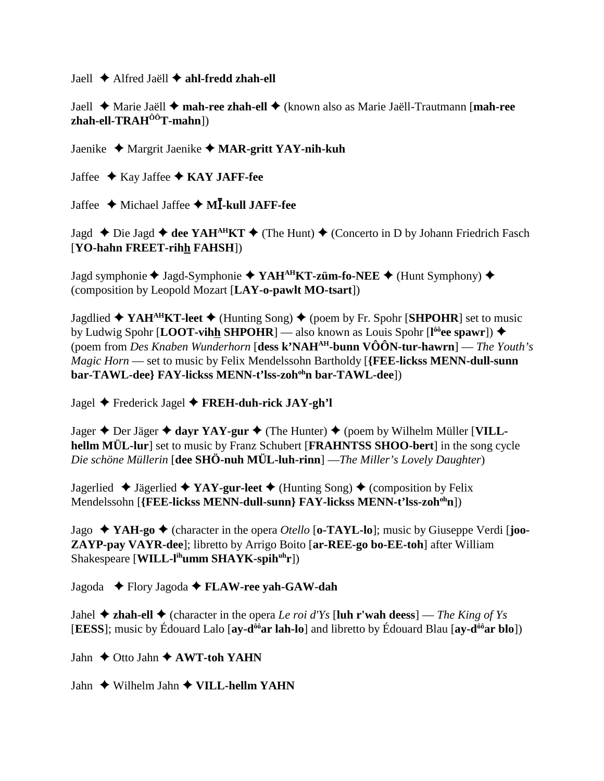Jaell Alfred Jaëll **ahl-fredd zhah-ell**

Jaell Marie Jaëll **mah-ree zhah-ell** (known also as Marie Jaëll-Trautmann [**mah-ree zhah-ell-TRAHÔÔT-mahn**])

Jaenike Margrit Jaenike **MAR-gritt YAY-nih-kuh**

Jaffee  $\triangle$  Kay Jaffee  $\triangle$  KAY JAFF-fee

Jaffee Michael Jaffee **M-kull JAFF-fee**

Jagd **←** Die Jagd **← dee YAH<sup>AH</sup>KT ←** (The Hunt) ← (Concerto in D by Johann Friedrich Fasch [**YO-hahn FREET-rihh FAHSH**])

Jagd symphonie ◆ Jagd-Symphonie ◆ YAH<sup>AH</sup>KT-züm-fo-NEE ◆ (Hunt Symphony) ◆ (composition by Leopold Mozart [**LAY-o-pawlt MO-tsart**])

Jagdlied  $\blacklozenge$  YAH<sup>AH</sup>KT-leet  $\blacklozenge$  (Hunting Song)  $\blacklozenge$  (poem by Fr. Spohr [SHPOHR] set to music **by Ludwig Spohr [LOOT-vihh SHPOHR]** — also known as Louis Spohr [l<sup>ôô</sup>ee spawr]) ◆ (poem from *Des Knaben Wunderhorn* [**dess k'NAHAH-bunn VÔÔN-tur-hawrn**] — *The Youth's Magic Horn* — set to music by Felix Mendelssohn Bartholdy [**{FEE-lickss MENN-dull-sunn** bar-TAWL-dee} FAY-lickss MENN-t'lss-zoh<sup>oh</sup>n bar-TAWL-dee])

Jagel Frederick Jagel **FREH-duh-rick JAY-gh'l**

Jager  $\triangle$  Der Jäger  $\triangle$  dayr YAY-gur  $\triangle$  (The Hunter)  $\triangle$  (poem by Wilhelm Müller [VILL**hellm MÜL-lur**] set to music by Franz Schubert [**FRAHNTSS SHOO-bert**] in the song cycle *Die schöne Müllerin* [**dee SHÖ-nuh MÜL-luh-rinn**] —*The Miller's Lovely Daughter*)

Jagerlied  $\blacklozenge$  Jägerlied  $\blacklozenge$  **YAY-gur-leet**  $\blacklozenge$  (Hunting Song)  $\blacklozenge$  (composition by Felix Mendelssohn [**{FEE-lickss MENN-dull-sunn} FAY-lickss MENN-t'lss-zohohn**])

Jago  $\blacklozenge$  **YAH-go**  $\blacklozenge$  (character in the opera *Otello* [o-TAYL-lo]; music by Giuseppe Verdi [joo-**ZAYP-pay VAYR-dee**]; libretto by Arrigo Boito [**ar-REE-go bo-EE-toh**] after William Shakespeare [**WILL-l<sup>ih</sup>umm SHAYK-spih<sup>uh</sup>r**])

Jagoda Flory Jagoda **FLAW-ree yah-GAW-dah**

Jahel  $\triangle$  **zhah-ell**  $\triangle$  (character in the opera *Le roi d'Ys* [luh r'wah deess] — *The King of Ys* [**EESS**]; music by Édouard Lalo [**ay-dôôar lah-lo**] and libretto by Édouard Blau [**ay-dôôar blo**])

Jahn  $\triangle$  Otto Jahn  $\triangle$  AWT-toh YAHN

Jahn  $\triangle$  Wilhelm Jahn  $\triangle$  VILL-hellm YAHN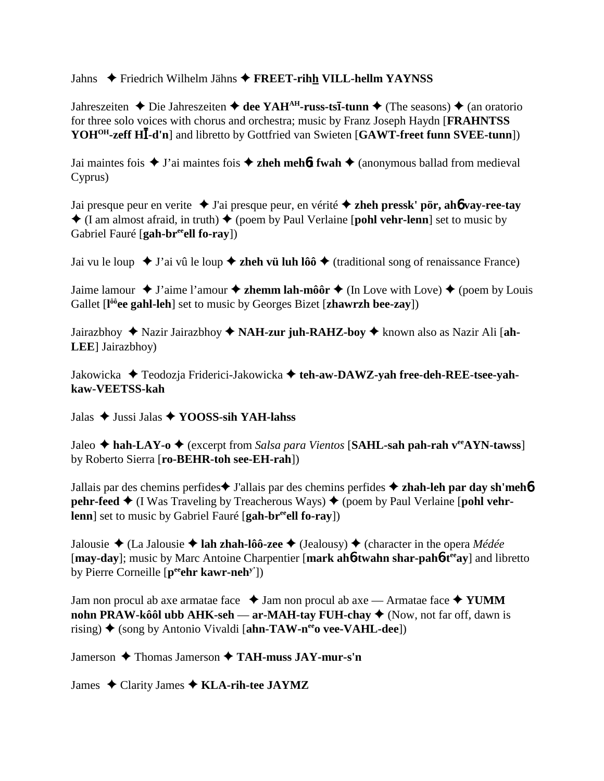Jahns Friedrich Wilhelm Jähns **FREET-rihh VILL-hellm YAYNSS**

Jahreszeiten  $\triangle$  Die Jahreszeiten  $\triangle$  dee YAH<sup>AH</sup>-russ-ts**I**-tunn  $\triangle$  (The seasons)  $\triangle$  (an oratorio for three solo voices with chorus and orchestra; music by Franz Joseph Haydn [**FRAHNTSS YOHOH-zeff H-d'n**] and libretto by Gottfried van Swieten [**GAWT-freet funn SVEE-tunn**])

Jai maintes fois  $\blacklozenge$  J'ai maintes fois  $\blacklozenge$  **zheh mehôt fwah**  $\blacklozenge$  (anonymous ballad from medieval Cyprus)

Jai presque peur en verite J'ai presque peur, en vérité **zheh pressk' pör, ah**6 **vay-ree-tay**  $\triangle$  (I am almost afraid, in truth)  $\triangle$  (poem by Paul Verlaine [**pohl vehr-lenn**] set to music by Gabriel Fauré [gah-br<sup>ee</sup>ell fo-ray])

Jai vu le loup  $\blacklozenge$  J'ai vû le loup  $\blacklozenge$  **zheh vü luh lôô**  $\blacklozenge$  (traditional song of renaissance France)

Jaime lamour  $\blacklozenge$  J'aime l'amour  $\blacklozenge$  **zhemm lah-môôr**  $\blacklozenge$  (In Love with Love)  $\blacklozenge$  (poem by Louis Gallet [**l ôôee gahl-leh**] set to music by Georges Bizet [**zhawrzh bee-zay**])

Jairazbhoy Nazir Jairazbhoy **NAH-zur juh-RAHZ-boy** known also as Nazir Ali [**ah-LEE**] Jairazbhoy)

Jakowicka Teodozja Friderici-Jakowicka **teh-aw-DAWZ-yah free-deh-REE-tsee-yahkaw-VEETSS-kah**

Jalas Jussi Jalas **YOOSS-sih YAH-lahss**

Jaleo **hah-LAY-o** (excerpt from *Salsa para Vientos* [**SAHL-sah pah-rah veeAYN-tawss**] by Roberto Sierra [**ro-BEHR-toh see-EH-rah**])

Jallais par des chemins perfides **↓** J'allais par des chemins perfides **→ zhah-leh par day sh'meh**6 **pehr-feed**  $\blacklozenge$  (I Was Traveling by Treacherous Ways)  $\blacklozenge$  (poem by Paul Verlaine [**pohl vehrlenn**] set to music by Gabriel Fauré [gah-br<sup>ee</sup>ell fo-ray])

Jalousie (La Jalousie **lah zhah-lôô-zee** (Jealousy) (character in the opera *Médée* [**may-day**]; music by Marc Antoine Charpentier [**mark ah**6**-twahn shar-pah**6**-teeay**] and libretto by Pierre Corneille [**peeehr kawr-nehy'**])

Jam non procul ab axe armatae face  $\triangle$  Jam non procul ab axe — Armatae face  $\triangle$  YUMM **nohn PRAW-kôôl ubb AHK-seh — ar-MAH-tay FUH-chay ♦** (Now, not far off, dawn is rising) ♦ (song by Antonio Vivaldi [**ahn-TAW-n<sup>ee</sup>o vee-VAHL-dee**])

Jamerson **→** Thomas Jamerson **→ TAH-muss JAY-mur-s'n** 

James Clarity James **KLA-rih-tee JAYMZ**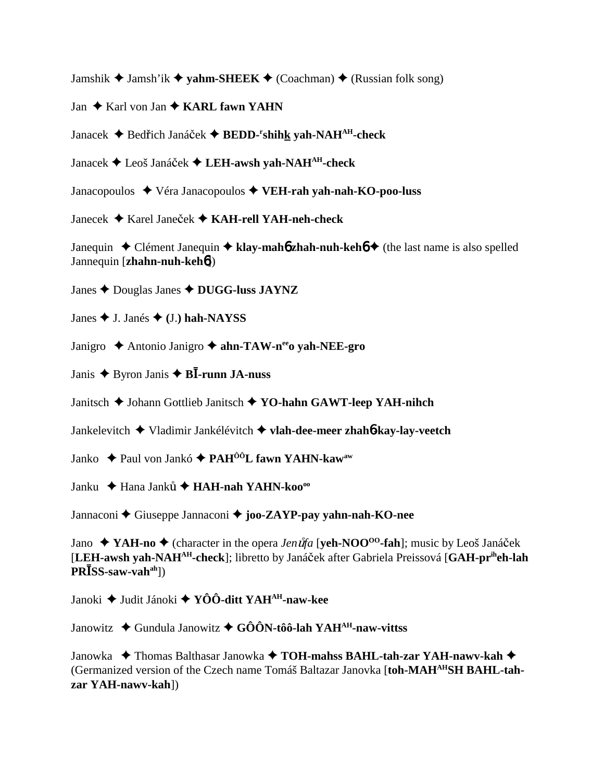Jamshik  $\triangleq$  Jamsh'ik  $\triangleq$  **vahm-SHEEK**  $\triangleq$  (Coachman)  $\triangleq$  (Russian folk song)

Jan **↓** Karl von Jan **↓ KARL fawn YAHN** 

Janacek ◆ Bedřich Janáček ◆ BEDD-<sup>r</sup>shih<u>k</u> yah-NAH<sup>AH</sup>-check

Janacek Leoš Janáek **LEH-awsh yah-NAHAH-check**

Janacopoulos Véra Janacopoulos **VEH-rah yah-nah-KO-poo-luss**

Janecek Karel Janeek **KAH-rell YAH-neh-check**

Janequin **←** Clément Janequin ← klay-mah**6** zhah-nuh-keh**6** ← (the last name is also spelled Jannequin [**zhahn-nuh-keh**6])

Janes Douglas Janes **DUGG-luss JAYNZ**

Janes  $\blacklozenge$  J. Janés  $\blacklozenge$  (J.) hah-NAYSS

Janigro **→** Antonio Janigro → **ahn-TAW-n<sup>ee</sup>o vah-NEE-gro** 

Janis  $\triangle$  Byron Janis  $\triangle$  **BI**-runn JA-nuss

Janitsch Johann Gottlieb Janitsch **YO-hahn GAWT-leep YAH-nihch**

Jankelevitch Vladimir Jankélévitch **vlah-dee-meer zhah**6**-kay-lay-veetch**

Janko Paul von Jankó **PAHÔÔL fawn YAHN-kawaw**

Janku **→** Hana Janků → **HAH-nah YAHN-koo**<sup>oo</sup>

Jannaconi Giuseppe Jannaconi **joo-ZAYP-pay yahn-nah-KO-nee**

Jano ◆ YAH-no ◆ (character in the opera *Jen uta* [**yeh-NOO<sup>00</sup>-fah**]; music by Leoš Janáček [**LEH-awsh yah-NAHAH-check**]; libretto by Janáek after Gabriela Preissová [**GAH-priheh-lah PRSS-saw-vahah**])

Janoki Judit Jánoki **YÔÔ-ditt YAHAH-naw-kee**

Janowitz **→** Gundula Janowitz → GÔÔN-tôô-lah YAH<sup>AH</sup>-naw-vittss

Janowka  $\blacklozenge$  Thomas Balthasar Janowka  $\blacklozenge$  TOH-mahss BAHL-tah-zar YAH-nawv-kah $\blacklozenge$ (Germanized version of the Czech name Tomáš Baltazar Janovka [**toh-MAHAHSH BAHL-tahzar YAH-nawv-kah**])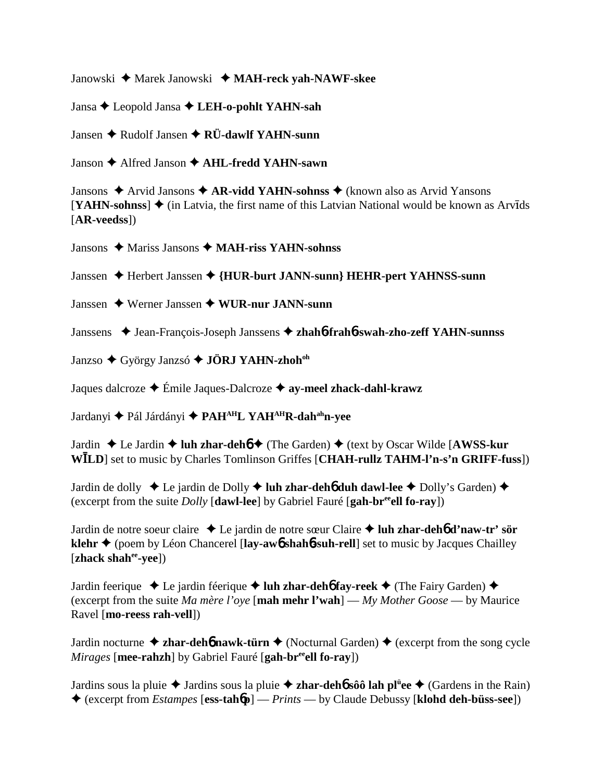Janowski Marek Janowski **MAH-reck yah-NAWF-skee**

Jansa Leopold Jansa **LEH-o-pohlt YAHN-sah**

Jansen Rudolf Jansen **RÜ-dawlf YAHN-sunn**

Janson Alfred Janson **AHL-fredd YAHN-sawn**

Jansons ◆ Arvid Jansons ◆ AR-vidd YAHN-sohnss ◆ (known also as Arvid Yansons  $[YAHN-sohnss]$   $\blacklozenge$  (in Latvia, the first name of this Latvian National would be known as Arvids [**AR-veedss**])

Jansons Mariss Jansons **MAH-riss YAHN-sohnss**

Janssen Herbert Janssen **{HUR-burt JANN-sunn} HEHR-pert YAHNSS-sunn**

Janssen Werner Janssen **WUR-nur JANN-sunn**

Janssens ◆ Jean-François-Joseph Janssens ◆ zhah6**-frah6-swah-zho-zeff YAHN-sunnss** 

Janzso  $\triangle$  György Janzsó  $\triangle$  **JÖRJ YAHN-zhoh<sup>oh</sup>** 

Jaques dalcroze Émile Jaques-Dalcroze **ay-meel zhack-dahl-krawz**

Jardanyi Pál Járdányi **PAHAHL YAHAHR-dahahn-yee**

Jardin Le Jardin **luh zhar-deh**6 (The Garden) (text by Oscar Wilde [**AWSS-kur WLD**] set to music by Charles Tomlinson Griffes [**CHAH-rullz TAHM-l'n-s'n GRIFF-fuss**])

Jardin de dolly ◆ Le jardin de Dolly ◆ luh zhar-deh**6** duh dawl-lee ◆ Dolly's Garden) ◆ (excerpt from the suite *Dolly* [**dawl-lee**] by Gabriel Fauré [**gah-breeell fo-ray**])

Jardin de notre soeur claire Le jardin de notre sœur Claire  **luh zhar-deh**6 **d'naw-tr' sör klehr ♦** (poem by Léon Chancerel [**lay-aw6** shah**6-suh-rell**] set to music by Jacques Chailley [**zhack shahee-yee**])

Jardin feerique ◆ Le jardin féerique ◆ luh zhar-deh**6** fay-reek ◆ (The Fairy Garden) ◆ (excerpt from the suite *Ma mère l'oye* [**mah mehr l'wah**] — *My Mother Goose* — by Maurice Ravel [**mo-reess rah-vell**])

Jardin nocturne  $\triangle$  **zhar-deh<sup>6</sup> nawk-türn**  $\triangle$  (Nocturnal Garden)  $\triangle$  (excerpt from the song cycle *Mirages* [mee-rahzh] by Gabriel Fauré [gah-br<sup>ee</sup>ell fo-ray])

Jardins sous la pluie Jardins sous la pluie **zhar-deh**6 **sôô lah plü ee** (Gardens in the Rain) (excerpt from *Estampes* [**ess-tah**6**p**] — *Prints* — by Claude Debussy [**klohd deh-büss-see**])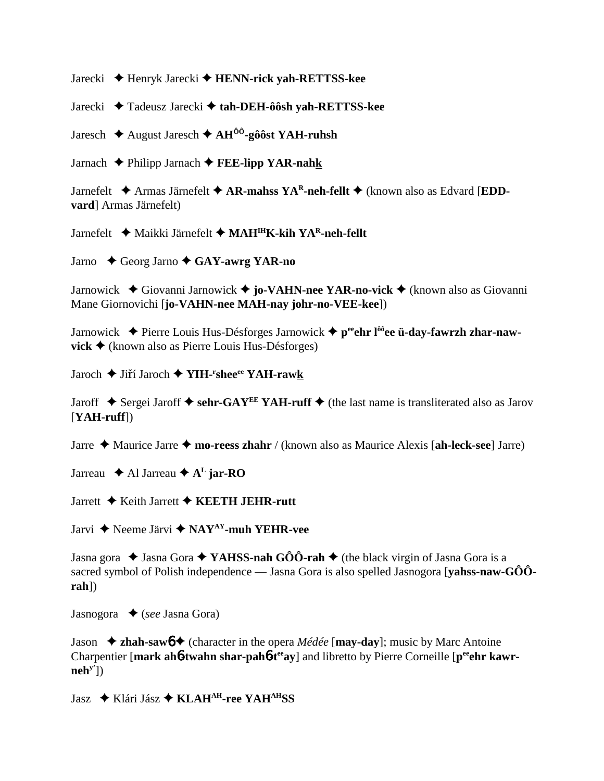Jarecki Henryk Jarecki **HENN-rick yah-RETTSS-kee**

Jarecki Tadeusz Jarecki **tah-DEH-ôôsh yah-RETTSS-kee**

Jaresch August Jaresch **AHÔÔ-gôôst YAH-ruhsh**

Jarnach Philipp Jarnach **FEE-lipp YAR-nahk**

Jarnefelt  $\blacklozenge$  Armas Järnefelt  $\blacklozenge$  AR-mahss YA<sup>R</sup>-neh-fellt  $\blacklozenge$  (known also as Edvard [EDD**vard**] Armas Järnefelt)

Jarnefelt Maikki Järnefelt **MAHIHK-kih YAR-neh-fellt**

Jarno Georg Jarno **GAY-awrg YAR-no**

Jarnowick Giovanni Jarnowick **jo-VAHN-nee YAR-no-vick** (known also as Giovanni Mane Giornovichi [**jo-VAHN-nee MAH-nay johr-no-VEE-kee**])

Jarnowick ◆ Pierre Louis Hus-Désforges Jarnowick ◆ p<sup>ee</sup>ehr l<sup>ôô</sup>ee ü-day-fawrzh zhar-naw**vick ◆** (known also as Pierre Louis Hus-Désforges)

Jaroch ♦ Jiří Jaroch ♦ YIH-<sup>r</sup>shee<sup>ee</sup> YAH-raw<u>k</u>

Jaroff  $\triangle$  Sergei Jaroff  $\triangle$  sehr-GAY<sup>EE</sup> YAH-ruff  $\triangle$  (the last name is transliterated also as Jarov [**YAH-ruff**])

Jarre Maurice Jarre **mo-reess zhahr** / (known also as Maurice Alexis [**ah-leck-see**] Jarre)

Jarreau  $\triangle$  Al Jarreau  $\triangle$  A<sup>L</sup> jar-RO

Jarrett Keith Jarrett **KEETH JEHR-rutt**

Jarvi Neeme Järvi **NAYAY-muh YEHR-vee**

Jasna gora  $\triangle$  Jasna Gora  $\triangle$  YAHSS-nah GÔÔ-rah  $\triangle$  (the black virgin of Jasna Gora is a sacred symbol of Polish independence — Jasna Gora is also spelled Jasnogora [**yahss-naw-GÔÔrah**])

Jasnogora ◆ (*see* Jasna Gora)

Jason **zhah-saw**6 (character in the opera *Médée* [**may-day**]; music by Marc Antoine Charpentier [mark ah**6-twahn shar-pah6-t<sup>ee</sup>ay**] and libretto by Pierre Corneille [peen] kawr**nehy'**])

Jasz Klári Jász **KLAHAH-ree YAHAHSS**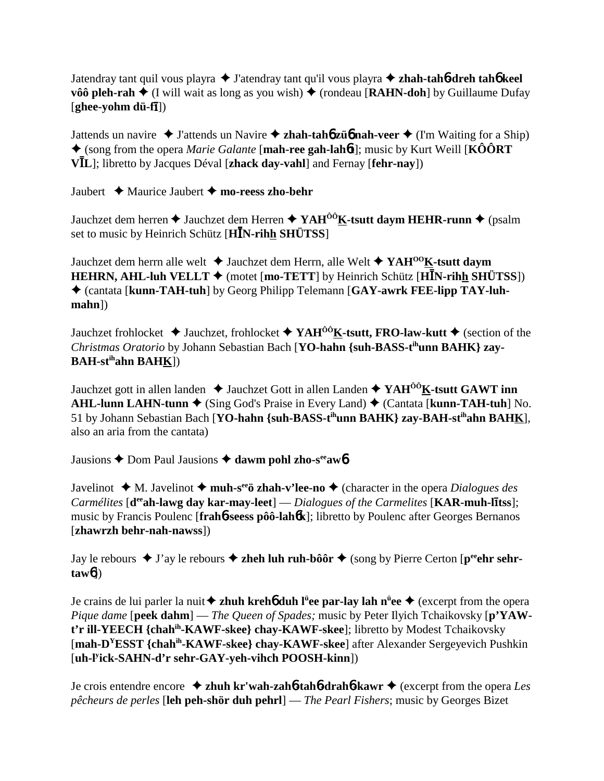Jatendray tant quil vous playra **→** J'atendray tant qu'il vous playra **→ zhah-tah<sup>6</sup>-dreh tah<sup>6</sup> keel vôô pleh-rah**  $\triangleleft$  (I will wait as long as you wish)  $\triangleleft$  (rondeau [**RAHN-doh**] by Guillaume Dufay [ghee-yohm dü-f**ī**])

Jattends un navire  $\triangle$  J'attends un Navire  $\triangle$  **zhah-tahó züó nah-veer**  $\triangle$  (I'm Waiting for a Ship) (song from the opera *Marie Galante* [**mah-ree gah-lah**6**t**]; music by Kurt Weill [**KÔÔRT VL**]; libretto by Jacques Déval [**zhack day-vahl**] and Fernay [**fehr-nay**])

Jaubert  $\triangleleft$  Maurice Jaubert  $\triangleleft$  mo-reess zho-behr

Jauchzet dem herren  $\triangle$  Jauchzet dem Herren  $\triangle$  YAH<sup>ôô</sup>K-tsutt daym HEHR-runn  $\triangle$  (psalm set to music by Heinrich Schütz [**HN-rihh SHÜTSS**]

Jauchzet dem herrn alle welt **→** Jauchzet dem Herrn, alle Welt ◆ YAH<sup>00</sup>K-tsutt daym **HEHRN, AHL-luh VELLT**  $\blacklozenge$  (motet [mo-TETT] by Heinrich Schütz [HIN-rihh SHÜTSS]) (cantata [**kunn-TAH-tuh**] by Georg Philipp Telemann [**GAY-awrk FEE-lipp TAY-luhmahn**])

Jauchzet frohlocket  $\blacklozenge$  Jauchzet, frohlocket  $\blacklozenge$  **YAH<sup>ôô</sup>K-tsutt, FRO-law-kutt**  $\blacklozenge$  (section of the *Christmas Oratorio* by Johann Sebastian Bach [**YO-hahn {suh-BASS-tihunn BAHK} zay-BAH-stihahn BAHK**])

Jauchzet gott in allen landen  $\triangle$  Jauchzet Gott in allen Landen  $\triangle$  YAH<sup> $\hat{O}$ ôK-tsutt GAWT inn</sup> **AHL-lunn LAHN-tunn ♦** (Sing God's Praise in Every Land) ♦ (Cantata [**kunn-TAH-tuh**] No. 51 by Johann Sebastian Bach [**YO-hahn {suh-BASS-tihunn BAHK} zay-BAH-stihahn BAHK**], also an aria from the cantata)

Jausions **→** Dom Paul Jausions → dawm pohl zho-s<sup>ee</sup>aw<sup>6</sup>

Javelinot  $\triangleleft$  M. Javelinot  $\triangleleft$  **muh-s<sup>ee</sup>ö zhah-v'lee-no**  $\triangleleft$  (character in the opera *Dialogues des Carmélites* [d<sup>ee</sup>ah-lawg day kar-may-leet] — *Dialogues* of the Carmelites [KAR-muh-litss]; music by Francis Poulenc [**frah**6**-seess pôô-lah**6**k**]; libretto by Poulenc after Georges Bernanos [**zhawrzh behr-nah-nawss**])

Jay le rebours  $\triangleq$  J'ay le rebours  $\triangleq$  zheh luh ruh-bôôr  $\triangleq$  (song by Pierre Certon [p<sup>ee</sup>ehr sehr**taw**6])

Je crains de lui parler la nuit **zhuh kreh**6 **duh lü ee par-lay lah nü ee** (excerpt from the opera *Pique dame* [**peek dahm**] — *The Queen of Spades;* music by Peter Ilyich Tchaikovsky [**p'YAWt'r ill-YEECH {chahih-KAWF-skee} chay-KAWF-skee**]; libretto by Modest Tchaikovsky [**mah-DYESST {chahih-KAWF-skee} chay-KAWF-skee**] after Alexander Sergeyevich Pushkin [**uh-ly ick-SAHN-d'r sehr-GAY-yeh-vihch POOSH-kinn**])

Je crois entendre encore **zhuh kr'wah-zah**6**-tah**6**-drah**6**-kawr** (excerpt from the opera *Les pêcheurs de perles* [**leh peh-shör duh pehrl**] — *The Pearl Fishers*; music by Georges Bizet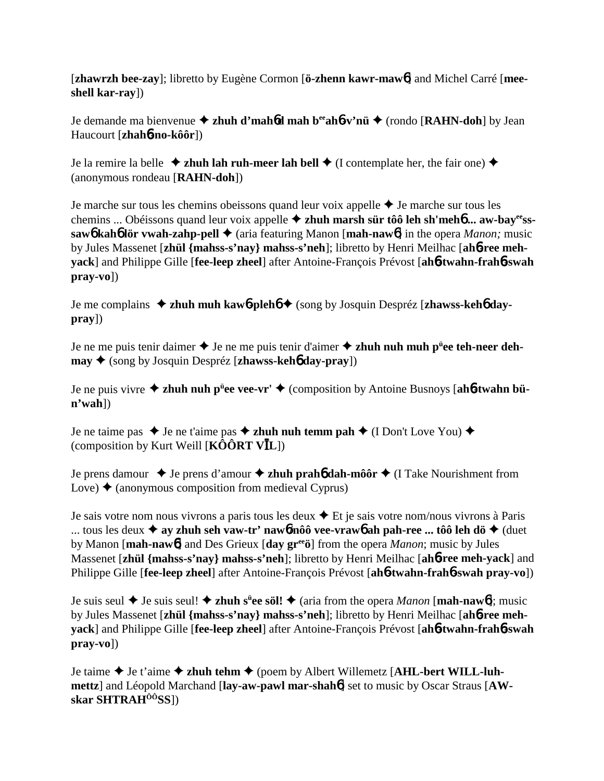[**zhawrzh bee-zay**]; libretto by Eugène Cormon [**ö-zhenn kawr-maw**6] and Michel Carré [**meeshell kar-ray**])

Je demande ma bienvenue **zhuh d'mah**6**d mah beeah**6**-v'nü** (rondo [**RAHN-doh**] by Jean Haucourt [**zhah**6**-no-kôôr**])

Je la remire la belle  $\triangle$  zhuh lah ruh-meer lah bell  $\triangle$  (I contemplate her, the fair one)  $\triangle$ (anonymous rondeau [**RAHN-doh**])

Je marche sur tous les chemins obeissons quand leur voix appelle  $\triangle$  Je marche sur tous les chemins ... Obéissons quand leur voix appelle **zhuh marsh sür tôô leh sh'meh**6 **... aw-bayeesssaw6** kah6 lör vwah-zahp-pell ♦ (aria featuring Manon [mah-naw6] in the opera *Manon*; music by Jules Massenet [**zhül {mahss-s'nay} mahss-s'neh**]; libretto by Henri Meilhac [**ah**6**-ree mehyack**] and Philippe Gille [**fee-leep zheel**] after Antoine-François Prévost [**ah**6**-twahn-frah**6**-swah pray-vo**])

Je me complains **zhuh muh kaw**6**-pleh**6 (song by Josquin Despréz [**zhawss-keh**6 **daypray**])

Je ne me puis tenir daimer ◆ Je ne me puis tenir d'aimer ◆ zhuh nuh muh p<sup>ü</sup>ee teh-neer deh**may ♦** (song by Josquin Despréz [**zhawss-keh6** day-pray])

Je ne puis vivre **zhuh nuh pü ee vee-vr'** (composition by Antoine Busnoys [**ah**6**-twahn bün'wah**])

Je ne taime pas  $\triangle$  Je ne t'aime pas  $\triangle$  zhuh nuh temm pah  $\triangle$  (I Don't Love You)  $\triangle$ (composition by Kurt Weill [**KÔÔRT VL**])

Je prens damour  $\triangle$  Je prens d'amour  $\triangle$  **zhuh prah<sub>6</sub>** dah-môôr  $\triangle$  (I Take Nourishment from Love)  $\triangle$  (anonymous composition from medieval Cyprus)

Je sais votre nom nous vivrons a paris tous les deux  $\triangle$  Et je sais votre nom/nous vivrons à Paris ... tous les deux  $\triangleq$  ay zhuh seh vaw-tr' nawb/nôô vee-vrawb ah pah-ree ... tôô leh dö $\triangleq$  (duet by Manon [**mah-naw**6] and Des Grieux [**day greeö**] from the opera *Manon*; music by Jules Massenet [**zhül {mahss-s'nay} mahss-s'neh**]; libretto by Henri Meilhac [**ah**6**-ree meh-yack**] and Philippe Gille [**fee-leep zheel**] after Antoine-François Prévost [**ah**6**-twahn-frah**6**-swah pray-vo**])

Je suis seul Je suis seul! **zhuh sü ee söl!** (aria from the opera *Manon* [**mah-naw**6]; music by Jules Massenet [**zhül {mahss-s'nay} mahss-s'neh**]; libretto by Henri Meilhac [**ah**6**-ree mehyack**] and Philippe Gille [**fee-leep zheel**] after Antoine-François Prévost [**ah**6**-twahn-frah**6**-swah pray-vo**])

Je taime ◆ Je t'aime ◆ zhuh tehm ◆ (poem by Albert Willemetz [AHL-bert WILL-luh**mettz**] and Léopold Marchand [**lay-aw-pawl mar-shah**6] set to music by Oscar Straus [**AWskar SHTRAHÔÔSS**])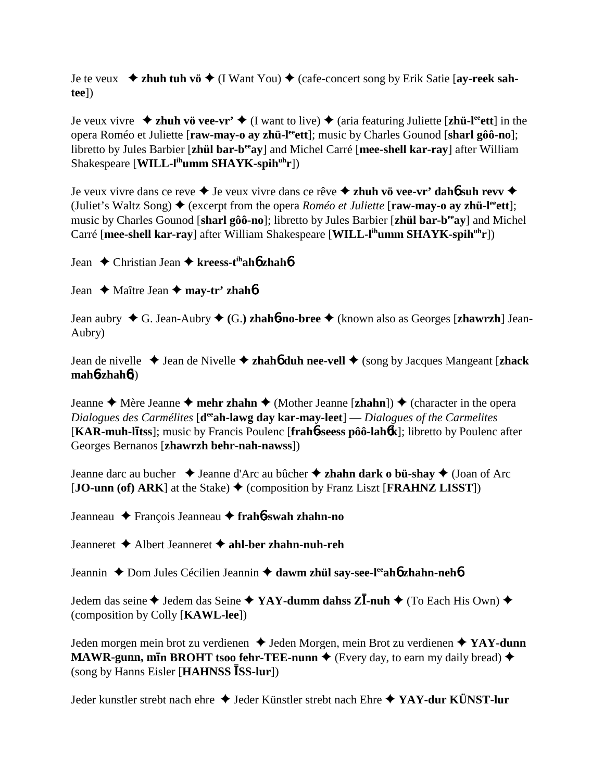Je te veux  $\rightarrow$  zhuh tuh vö  $\rightarrow$  (I Want You)  $\rightarrow$  (cafe-concert song by Erik Satie [ay-reek sah**tee**])

Je veux vivre  $\rightarrow$  zhuh vö vee-vr'  $\rightarrow$  (I want to live)  $\rightarrow$  (aria featuring Juliette [zhü-l<sup>ee</sup>ett] in the opera Roméo et Juliette [raw-may-o ay zhü-l<sup>ee</sup>ett]; music by Charles Gounod [sharl gôô-no]; libretto by Jules Barbier [**zhül bar-beeay**] and Michel Carré [**mee-shell kar-ray**] after William Shakespeare [**WILL-l<sup>ih</sup>umm SHAYK-spih<sup>uh</sup>r**])

Je veux vivre dans ce reve **→** Je veux vivre dans ce rêve **→ zhuh vö vee-vr' dahó suh revv →** (Juliet's Waltz Song)  $\triangle$  (excerpt from the opera *Roméo et Juliette* [raw-may-o ay zhü-l<sup>ee</sup>ett]; music by Charles Gounod [**sharl gôô-no**]; libretto by Jules Barbier [**zhül bar-beeay**] and Michel Carré [mee-shell kar-ray] after William Shakespeare [WILL-l<sup>ih</sup>umm SHAYK-spih<sup>uh</sup>r])

Jean Christian Jean **kreess-tihah**6 **zhah**6

Jean **→** Maître Jean **→ may-tr' zhah<sup>6</sup>** 

Jean aubry G. Jean-Aubry  **(**G.**) zhah**6**-no-bree** (known also as Georges [**zhawrzh**] Jean-Aubry)

Jean de nivelle Jean de Nivelle **zhah**6 **duh nee-vell** (song by Jacques Mangeant [**zhack mah**6**-zhah**6])

Jeanne  $\triangle$  Mère Jeanne  $\triangle$  mehr zhahn  $\triangle$  (Mother Jeanne [zhahn])  $\triangle$  (character in the opera *Dialogues des Carmélites* [**d<sup>ee</sup>ah-lawg day kar-may-leet**] — *Dialogues of the Carmelites* [KAR-muh-litss]; music by Francis Poulenc [frah**6**-seess pôô-lahok]; libretto by Poulenc after Georges Bernanos [**zhawrzh behr-nah-nawss**])

Jeanne darc au bucher **→** Jeanne d'Arc au bûcher **→ zhahn dark o bü-shay** ◆ (Joan of Arc  $[JO-unn (of) ARK]$  at the Stake)  $\blacklozenge$  (composition by Franz Liszt [**FRAHNZ LISST**])

Jeanneau François Jeanneau **frah**6**-swah zhahn-no**

Jeanneret Albert Jeanneret **ahl-ber zhahn-nuh-reh**

Jeannin ◆ Dom Jules Cécilien Jeannin ◆ dawm zhül say-see-l<sup>ee</sup>ah**6** zhahn-neh**6** 

Jedem das seine ◆ Jedem das Seine ◆ YAY-dumm dahss Z**I-nuh** ◆ (To Each His Own) ◆ (composition by Colly [**KAWL-lee**])

Jeden morgen mein brot zu verdienen ◆ Jeden Morgen, mein Brot zu verdienen ◆ YAY-dunn **MAWR-gunn, min BROHT tsoo fehr-TEE-nunn**  $\bullet$  (Every day, to earn my daily bread)  $\bullet$ (song by Hanns Eisler [**HAHNSS SS-lur**])

Jeder kunstler strebt nach ehre Jeder Künstler strebt nach Ehre **YAY-dur KÜNST-lur**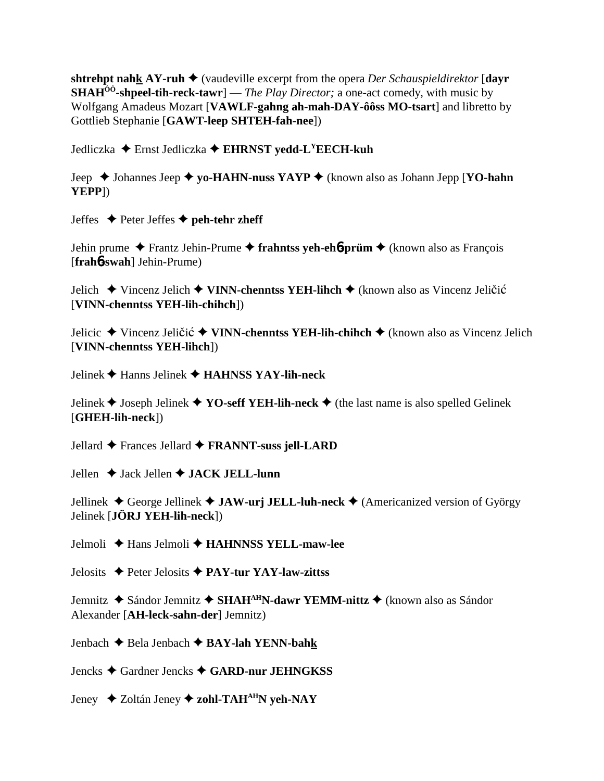shtrehpt nahk AY-ruh  $\blacklozenge$  (vaudeville excerpt from the opera Der Schauspieldirektor [dayr **SHAH<sup>** $00$ **</sup>-shpeel-tih-reck-tawr**  $-$  *The Play Director*; a one-act comedy, with music by Wolfgang Amadeus Mozart [VAWLF-gahng ah-mah-DAY-ôôss MO-tsart] and libretto by Gottlieb Stephanie [GAWT-leep SHTEH-fah-nee])

Jedliczka ◆ Ernst Jedliczka ◆ EHRNST yedd-L<sup>Y</sup>EECH-kuh

Jeep  $\triangle$  Johannes Jeep  $\triangle$  yo-HAHN-nuss YAYP  $\triangle$  (known also as Johann Jepp [YO-hahn YEPP<sub>1</sub>)

Jeffes  $\blacklozenge$  Peter Jeffes  $\blacklozenge$  peh-tehr zheff

Jehin prume  $\triangle$  Frantz Jehin-Prume  $\triangle$  frahntss yeh-eho-prüm  $\triangle$  (known also as Francois [frah6-swah] Jehin-Prume)

Jelich ◆ Vincenz Jelich ◆ VINN-chenntss YEH-lihch ◆ (known also as Vincenz Jeličić [VINN-chenntss YEH-lih-chihch])

Jelicic ◆ Vincenz Jeličić ◆ VINN-chenntss YEH-lih-chihch ◆ (known also as Vincenz Jelich [VINN-chenntss YEH-lihch])

Jelinek  $\blacklozenge$  Hanns Jelinek  $\blacklozenge$  HAHNSS YAY-lih-neck

Jelinek ♦ Joseph Jelinek ♦ YO-seff YEH-lih-neck ♦ (the last name is also spelled Gelinek [GHEH-lih-neck])

Jellard  $\triangle$  Frances Jellard  $\triangle$  FRANNT-suss jell-LARD

Jellen  $\triangle$  Jack Jellen  $\triangle$  JACK JELL-lunn

Jellinek  $\triangle$  George Jellinek  $\triangle$  JAW-urj JELL-luh-neck  $\triangle$  (Americanized version of György Jelinek [**JÖRJ YEH-lih-neck**])

Jelmoli  $\triangle$  Hans Jelmoli  $\triangle$  HAHNNSS YELL-maw-lee

Jelosits  $\triangle$  Peter Jelosits  $\triangle$  PAY-tur YAY-law-zittss

Jemnitz ◆ Sándor Jemnitz ◆ SHAH<sup>AH</sup>N-dawr YEMM-nittz ◆ (known also as Sándor Alexander [AH-leck-sahn-der] Jemnitz)

Jenbach  $\triangle$  Bela Jenbach  $\triangle$  BAY-lah YENN-bahk

Jencks ◆ Gardner Jencks ◆ GARD-nur JEHNGKSS

Jeney  $\triangle$  Zoltán Jeney  $\triangle$  zohl-TAH<sup>AH</sup>N yeh-NAY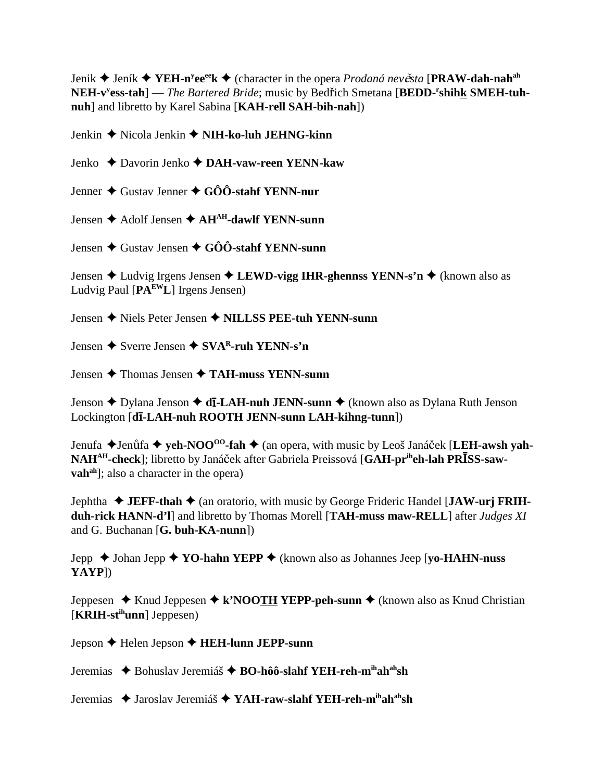**Jenik → Jeník → YEH-n<sup>y</sup>ee<sup>ee</sup>k → (character in the opera** *Prodaná nevěsta* **[PRAW-dah-nah<sup>ah</sup>** NEH-v<sup>y</sup>ess-tah] — The Bartered Bride; music by Bedřich Smetana [BEDD-<sup>r</sup>shihk SMEH-tuh**nuh**] and libretto by Karel Sabina [**KAH-rell SAH-bih-nah**])

Jenkin Nicola Jenkin **NIH-ko-luh JEHNG-kinn**

Jenko Davorin Jenko **DAH-vaw-reen YENN-kaw**

Jenner Gustav Jenner **GÔÔ-stahf YENN-nur**

Jensen Adolf Jensen **AHAH-dawlf YENN-sunn**

Jensen Gustav Jensen **GÔÔ-stahf YENN-sunn**

Jensen Ludvig Irgens Jensen **LEWD-vigg IHR-ghennss YENN-s'n** (known also as Ludvig Paul [**PAEWL**] Irgens Jensen)

Jensen Niels Peter Jensen **NILLSS PEE-tuh YENN-sunn**

Jensen **→** Sverre Jensen ◆ SVA<sup>R</sup>-ruh YENN-s'n

Jensen Thomas Jensen **TAH-muss YENN-sunn**

Jenson ♦ Dylana Jenson ♦ **dī-LAH-nuh JENN-sunn ♦** (known also as Dylana Ruth Jenson Lockington [**d**-**-LAH-nuh ROOTH JENN-sunn LAH-kihng-tunn**])

Jenufa ◆Jenůfa ◆ yeh-NOO<sup>oo</sup>-fah ◆ (an opera, with music by Leoš Janáček [LEH-awsh yah-NAH<sup>AH</sup>-check]; libretto by Janáček after Gabriela Preissová [GAH-pr<sup>ih</sup>eh-lah PR**ISS-sawvah<sup>ah</sup>**]; also a character in the opera)

**Jephtha ♦ JEFF-thah ♦ (an oratorio, with music by George Frideric Handel [JAW-urj FRIHduh-rick HANN-d'l**] and libretto by Thomas Morell [**TAH-muss maw-RELL**] after *Judges XI* and G. Buchanan [**G. buh-KA-nunn**])

Jepp Johan Jepp **YO-hahn YEPP** (known also as Johannes Jeep [**yo-HAHN-nuss YAYP**])

Jeppesen **→** Knud Jeppesen ◆ k'NOOTH YEPP-peh-sunn ◆ (known also as Knud Christian [**KRIH-stihunn**] Jeppesen)

Jepson Helen Jepson **HEH-lunn JEPP-sunn**

Jeremias ◆ Bohuslav Jeremiáš ◆ BO-hôô-slahf YEH-reh-mihah<sup>ah</sup>sh

Jeremias ◆ Jaroslav Jeremiáš ◆ YAH-raw-slahf YEH-reh-mihah<sup>ah</sup>sh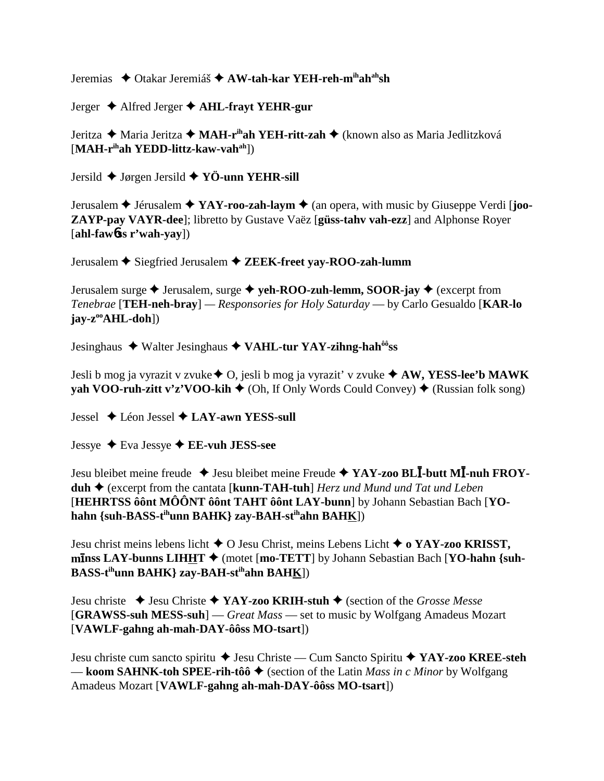Jeremias ♦ Otakar Jeremiáš ♦ AW-tah-kar YEH-reh-mihahahsh

Jerger  $\triangle$  Alfred Jerger  $\triangle$  AHL-frayt YEHR-gur

Jeritza ◆ Maria Jeritza ◆ MAH-r<sup>ih</sup>ah YEH-ritt-zah ◆ (known also as Maria Jedlitzková  $[MAH-r<sup>ih</sup>ah YEDD-littz-kaw-vah<sup>ah</sup>$ ])

Jersild  $\blacklozenge$  Jørgen Jersild  $\blacklozenge$  YÖ-unn YEHR-sill

Jerusalem  $\triangle$  Jérusalem  $\triangle$  YAY-roo-zah-laym  $\triangle$  (an opera, with music by Giuseppe Verdi [joo-ZAYP-pay VAYR-dee]; libretto by Gustave Vaëz [güss-tahv vah-ezz] and Alphonse Royer  $[ahl$ -faw $b$ ss r'wah-vav $]$ 

Jerusalem ♦ Siegfried Jerusalem ♦ ZEEK-freet vav-ROO-zah-lumm

Jerusalem surge  $\triangle$  Jerusalem, surge  $\triangle$  veh-ROO-zuh-lemm, SOOR-jav  $\triangle$  (excerpt from Tenebrae [TEH-neh-bray] — Responsories for Holy Saturday — by Carlo Gesualdo [KAR-lo]  $jav-z^{oo}AHL-doh$ ])

Jesinghaus ◆ Walter Jesinghaus ◆ VAHL-tur YAY-zihng-hah<sup>ôô</sup>ss

Jesli b mog ja vyrazit v zvuke  $\triangle$  O, jesli b mog ja vyrazit' v zvuke  $\triangle$  AW, YESS-lee'b MAWK yah VOO-ruh-zitt v'z'VOO-kih ♦ (Oh, If Only Words Could Convey) ♦ (Russian folk song)

Jessel  $\triangle$  Léon Jessel  $\triangle$  LAY-awn YESS-sull

Jessye  $\triangle$  Eva Jessye  $\triangle$  EE-vuh JESS-see

Jesu bleibet meine freude  $\triangleq$  Jesu bleibet meine Freude  $\triangleq$  YAY-zoo BLI-butt MI-nuh FROYduh  $\triangle$  (excerpt from the cantata [kunn-TAH-tuh] *Herz und Mund und Tat und Leben* [HEHRTSS ô ônt MÔÔNT ô ônt TAHT ô ônt LAY-bunn] by Johann Sebastian Bach [YOhahn {suh-BASS-t<sup>ih</sup>unn BAHK} zay-BAH-st<sup>ih</sup>ahn BAHK])

Jesu christ meins lebens licht  $\triangle$  O Jesu Christ, meins Lebens Licht  $\triangle$  o YAY-zoo KRISST, minss LAY-bunns LIHHT  $\blacklozenge$  (motet [mo-TETT] by Johann Sebastian Bach [YO-hahn {suh-BASS-t<sup>ih</sup>unn BAHK} zay-BAH-st<sup>ih</sup>ahn BAHK])

Jesu christe  $\triangleleft$  Jesu Christe  $\triangleleft$  YAY-zoo KRIH-stuh  $\triangleleft$  (section of the *Grosse Messe* [GRAWSS-suh MESS-suh] — Great Mass — set to music by Wolfgang Amadeus Mozart [VAWLF-gahng ah-mah-DAY-ôôss MO-tsart])

Jesu christe cum sancto spiritu → Jesu Christe — Cum Sancto Spiritu → YAY-zoo KREE-steh — koom SAHNK-toh SPEE-rih-tôô  $\triangleq$  (section of the Latin *Mass in c Minor* by Wolfgang Amadeus Mozart [VAWLF-gahng ah-mah-DAY-ôôss MO-tsart])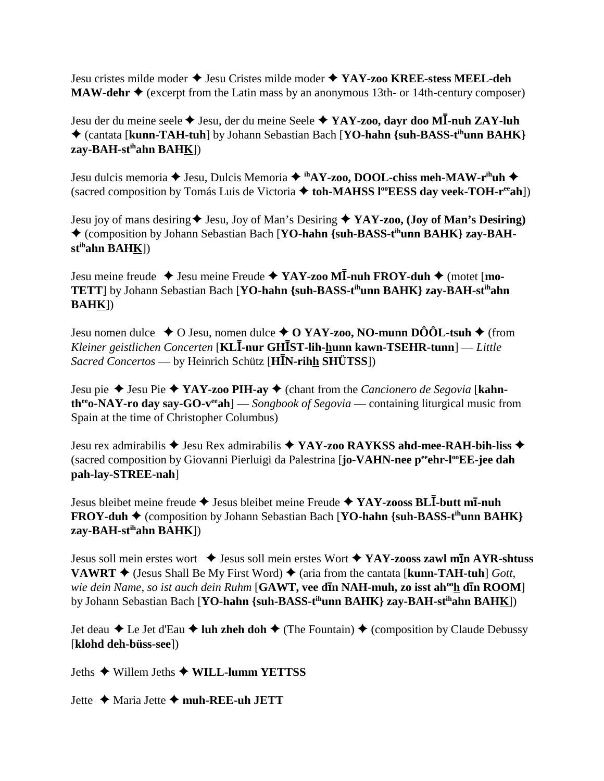Jesu cristes milde moder Jesu Cristes milde moder **YAY-zoo KREE-stess MEEL-deh MAW-dehr ◆** (excerpt from the Latin mass by an anonymous 13th- or 14th-century composer)

Jesu der du meine seele Jesu, der du meine Seele **YAY-zoo, dayr doo M-nuh ZAY-luh** (cantata [**kunn-TAH-tuh**] by Johann Sebastian Bach [**YO-hahn {suh-BASS-tihunn BAHK} zay-BAH-stihahn BAHK**])

Jesu dulcis memoria **→** Jesu, Dulcis Memoria → ihAY-zoo, DOOL-chiss meh-MAW-r<sup>ih</sup>uh → (sacred composition by Tomás Luis de Victoria  $\triangle$  toh-MAHSS l<sup>oo</sup>EESS day veek-TOH-r<sup>ee</sup>ah<sup>]</sup>)

Jesu joy of mans desiring  $\blacklozenge$  Jesu, Joy of Man's Desiring  $\blacklozenge$  **YAY-zoo, (Joy of Man's Desiring)** ◆ (composition by Johann Sebastian Bach [YO-hahn {suh-BASS-t<sup>ih</sup>unn BAHK} zay-BAH**stihahn BAHK**])

Jesu meine freude  $\triangle$  Jesu meine Freude  $\triangle$  **YAY-zoo MI**-nuh **FROY-duh**  $\triangle$  (motet [mo-**TETT**] by Johann Sebastian Bach [**YO-hahn {suh-BASS-tihunn BAHK} zay-BAH-stihahn BAHK**])

Jesu nomen dulce  $\rightarrow$  O Jesu, nomen dulce  $\rightarrow$  O YAY-zoo, NO-munn DÔÔL-tsuh  $\rightarrow$  (from *Kleiner geistlichen Concerten* [**KL-nur GHST-lih-hunn kawn-TSEHR-tunn**] — *Little Sacred Concertos* — by Heinrich Schütz [**HN-rihh SHÜTSS**])

Jesu pie Jesu Pie **YAY-zoo PIH-ay** (chant from the *Cancionero de Segovia* [**kahntheeo-NAY-ro day say-GO-veeah**] — *Songbook of Segovia* — containing liturgical music from Spain at the time of Christopher Columbus)

Jesu rex admirabilis **→** Jesu Rex admirabilis **→ YAY-zoo RAYKSS ahd-mee-RAH-bih-liss →** (sacred composition by Giovanni Pierluigi da Palestrina [**jo-VAHN-nee p<sup>ee</sup>ehr-l<sup>oo</sup>EE-jee dah pah-lay-STREE-nah**]

Jesus bleibet meine freude Jesus bleibet meine Freude  **YAY-zooss BL-butt m**-**-nuh FROY-duh ♦** (composition by Johann Sebastian Bach [**YO-hahn** {suh-BASS-t<sup>ih</sup>unn BAHK} **zay-BAH-stihahn BAHK**])

Jesus soll mein erstes wort  $\rightarrow$  Jesus soll mein erstes Wort  $\rightarrow$  YAY-zooss zawl m**In AYR-shtuss VAWRT**  $\blacklozenge$  (Jesus Shall Be My First Word)  $\blacklozenge$  (aria from the cantata [**kunn-TAH-tuh**] *Gott,* wie dein Name, so ist auch dein Ruhm [**GAWT, vee din NAH-muh, zo isst ah<sup>oo</sup>h din ROOM**] by Johann Sebastian Bach [**YO-hahn {suh-BASS-tihunn BAHK} zay-BAH-stihahn BAHK**])

Jet deau  $\triangle$  Le Jet d'Eau  $\triangle$  luh zheh doh  $\triangle$  (The Fountain)  $\triangle$  (composition by Claude Debussy [**klohd deh-büss-see**])

Jeths Willem Jeths **WILL-lumm YETTSS**

Jette ◆ Maria Jette ◆ muh-REE-uh JETT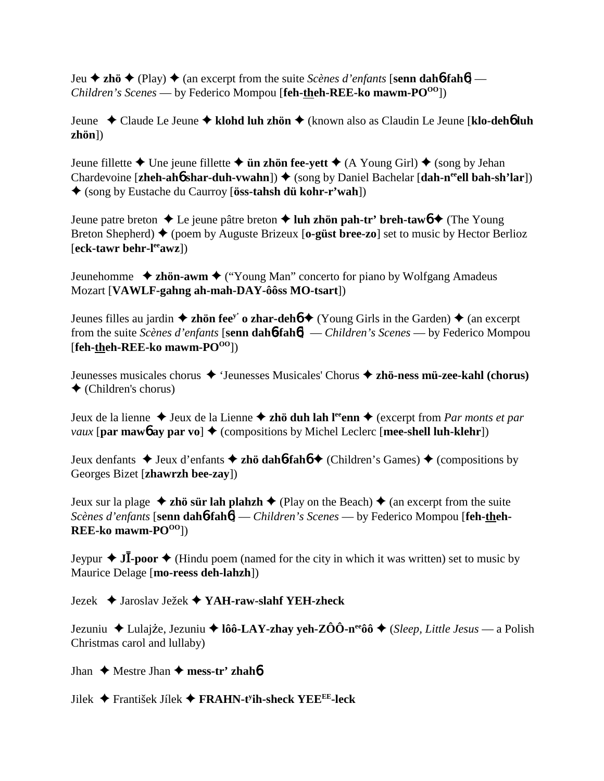Jeu **→ zhö** ◆ (Play) ◆ (an excerpt from the suite *Scènes d'enfants* [**senn dahb-fahb**] — *Children's Scenes* — by Federico Mompou [feh-theh-REE-ko mawm-PO<sup>00</sup>])

Jeune Claude Le Jeune **klohd luh zhön** (known also as Claudin Le Jeune [**klo-deh**6 **luh zhön**])

Jeune fillette  $\triangle$  Une jeune fillette  $\triangle$  **ün zhön fee-yett**  $\triangle$  (A Young Girl)  $\triangle$  (song by Jehan Chardevoine [**zheh-ahɑ́ shar-duh-vwahn**]) ♦ (song by Daniel Bachelar [**dah-n<sup>ee</sup>ell bah-sh'lar**]) (song by Eustache du Caurroy [**öss-tahsh dü kohr-r'wah**])

Jeune patre breton  $\triangle$  Le jeune pâtre breton  $\triangle$  **luh zhön pah-tr' breh-taw6**  $\triangle$  (The Young Breton Shepherd) (poem by Auguste Brizeux [**o-güst bree-zo**] set to music by Hector Berlioz [**eck-tawr behr-leeawz**])

Jeunehomme **→ zhön-awm →** ("Young Man" concerto for piano by Wolfgang Amadeus Mozart [**VAWLF-gahng ah-mah-DAY-ôôss MO-tsart**])

Jeunes filles au jardin  $\triangle$  zhön fee<sup>y</sup> o zhar-dehó  $\triangle$  (Young Girls in the Garden)  $\triangle$  (an excerpt from the suite *Scènes d'enfants* [**senn dah**6**-fah**6] — *Children's Scenes* — by Federico Mompou [**feh-theh-REE-ko mawm-POOO**])

Jeunesses musicales chorus 'Jeunesses Musicales' Chorus **zhö-ness mü-zee-kahl (chorus)**  $\triangleleft$  (Children's chorus)

Jeux de la lienne  $\triangle$  Jeux de la Lienne  $\triangle$  **zhö duh lah l<sup>ee</sup>enn**  $\triangle$  (excerpt from *Par monts et par vaux* [par mawb ay par vo]  $\triangle$  (compositions by Michel Leclerc [mee-shell luh-klehr])

Jeux denfants  $\triangle$  Jeux d'enfants  $\triangle$  **zhö dah6-fahó**  $\triangle$  (Children's Games)  $\triangle$  (compositions by Georges Bizet [**zhawrzh bee-zay**])

Jeux sur la plage  $\triangleq$  zhö sür lah plahzh  $\triangleq$  (Play on the Beach)  $\triangleq$  (an excerpt from the suite *Scènes d'enfants* [**senn dah**6**-fah**6] — *Children's Scenes* — by Federico Mompou [**feh-theh-REE-ko** mawm-PO<sup>OO</sup>])

Jeypur  $\triangleleft$  J**I**-poor  $\triangleleft$  (Hindu poem (named for the city in which it was written) set to music by Maurice Delage [**mo-reess deh-lahzh**])

Jezek Jaroslav Ježek **YAH-raw-slahf YEH-zheck**

Jezuniu Lulaj e, Jezuniu **lôô-LAY-zhay yeh-ZÔÔ-neeôô** (*Sleep, Little Jesus* — a Polish Christmas carol and lullaby)

Jhan  $\triangle$  Mestre Jhan  $\triangle$  mess-tr' zhah**b** 

Jilek František Jílek  **FRAHN-ty ih-sheck YEEEE-leck**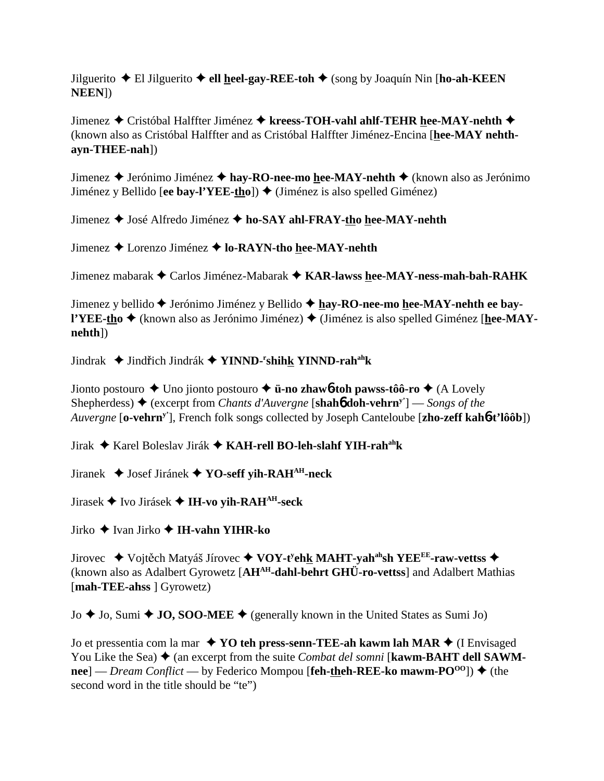Jilguerito El Jilguerito **ell heel-gay-REE-toh** (song by Joaquín Nin [**ho-ah-KEEN NEEN**])

Jimenez Cristóbal Halffter Jiménez **kreess-TOH-vahl ahlf-TEHR hee-MAY-nehth** (known also as Cristóbal Halffter and as Cristóbal Halffter Jiménez-Encina [**hee-MAY nehthayn-THEE-nah**])

Jimenez ◆ Jerónimo Jiménez ◆ hay-RO-nee-mo hee-MAY-nehth ◆ (known also as Jerónimo Jiménez y Bellido **[ee bay-l'YEE-tho**]) ♦ (Jiménez is also spelled Giménez)

Jimenez José Alfredo Jiménez **ho-SAY ahl-FRAY-tho hee-MAY-nehth**

Jimenez Lorenzo Jiménez **lo-RAYN-tho hee-MAY-nehth**

Jimenez mabarak Carlos Jiménez-Mabarak **KAR-lawss hee-MAY-ness-mah-bah-RAHK**

Jimenez y bellido ◆ Jerónimo Jiménez y Bellido ◆ hay-RO-nee-mo hee-MAY-nehth ee bay**l'YEE-tho ♦** (known also as Jerónimo Jiménez) ♦ (Jiménez is also spelled Giménez [**hee-MAYnehth**])

Jindrak ◆ Jindřich Jindrák ◆ **YINND-<sup>r</sup>shih<u>k</u> YINND-rah<sup>ah</sup>k** 

Jionto postouro Uno jionto postouro **ü-no zhaw**6**-toh pawss-tôô-ro** (A Lovely Shepherdess)  $\blacklozenge$  (excerpt from *Chants d'Auvergne* [**shahb doh-vehrn**<sup>y'</sup>] — *Songs of the Auvergne* [**o-vehrny'**], French folk songs collected by Joseph Canteloube [**zho-zeff kah**6**-t'lôôb**])

Jirak Karel Boleslav Jirák **KAH-rell BO-leh-slahf YIH-rahahk**

Jiranek Josef Jiránek **YO-seff yih-RAHAH-neck**

Jirasek Ivo Jirásek **IH-vo yih-RAHAH-seck**

Jirko Ivan Jirko  **IH-vahn YIHR-ko**

Jirovec ◆ Vojtěch Matyáš Jírovec ◆ V**OY-t<sup>y</sup>eh<u>k</u> MAHT-yah<sup>ah</sup>sh YEE<sup>EE</sup>-raw-vettss ◆** (known also as Adalbert Gyrowetz [**AHAH-dahl-behrt GHÜ-ro-vettss**] and Adalbert Mathias [**mah-TEE-ahss** ] Gyrowetz)

 $J_0 \triangleq J_0$ , Sumi  $\triangleq J_0$ , SOO-MEE  $\triangleq$  (generally known in the United States as Sumi Jo)

Jo et pressentia com la mar ◆ YO teh press-senn-TEE-ah kawm lah MAR ◆ (I Envisaged You Like the Sea)  $\triangle$  (an excerpt from the suite *Combat del somni* [**kawm-BAHT dell SAWM-** $\text{tree}$ ] — *Dream Conflict* — by Federico Mompou [**feh-theh-REE-ko mawm-PO**<sup>00</sup>])  $\blacklozenge$  (the second word in the title should be "te")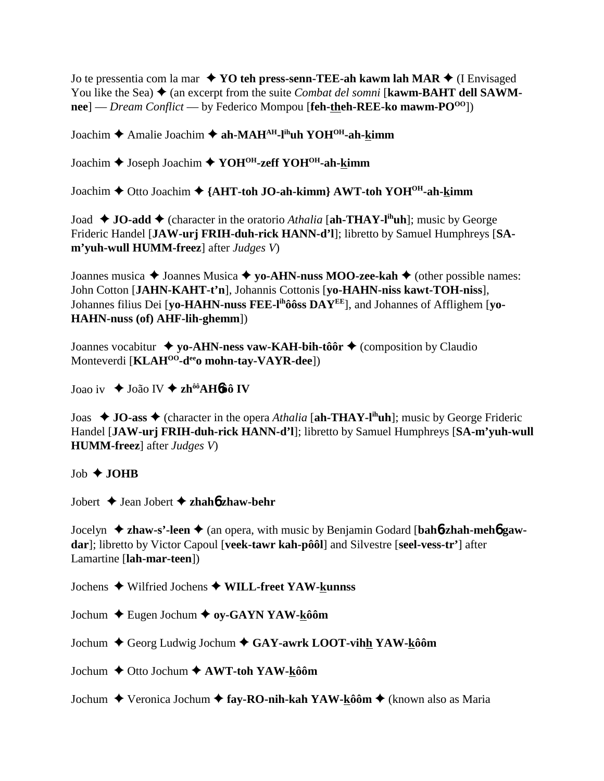Jo te pressentia com la mar  $\rightarrow$  **YO teh press-senn-TEE-ah kawm lah MAR**  $\rightarrow$  (I Envisaged You like the Sea)  $\triangle$  (an excerpt from the suite *Combat del somni* [**kawm-BAHT dell SAWMnee**] — *Dream Conflict* — by Federico Mompou [**feh-theh-REE-ko mawm-PO**<sup>00</sup>])

Joachim Amalie Joachim **ah-MAHAH-lihuh YOHOH-ah-kimm**

Joachim Joseph Joachim **YOHOH-zeff YOHOH-ah-kimm**

Joachim Otto Joachim **{AHT-toh JO-ah-kimm} AWT-toh YOHOH-ah-kimm**

Joad  $\blacklozenge$  **JO-add**  $\blacklozenge$  (character in the oratorio *Athalia* [ah-THAY-l<sup>ih</sup>uh]; music by George Frideric Handel [**JAW-urj FRIH-duh-rick HANN-d'l**]; libretto by Samuel Humphreys [**SAm'yuh-wull HUMM-freez**] after *Judges V*)

Joannes musica **→** Joannes Musica **→ yo-AHN-nuss MOO-zee-kah →** (other possible names: John Cotton [**JAHN-KAHT-t'n**], Johannis Cottonis [**yo-HAHN-niss kawt-TOH-niss**], Johannes filius Dei [**yo-HAHN-nuss FEE-lihôôss DAYEE**], and Johannes of Afflighem [**yo-HAHN-nuss (of) AHF-lih-ghemm**])

Joannes vocabitur **↓ yo-AHN-ness vaw-KAH-bih-tôôr ◆** (composition by Claudio Monteverdi [**KLAHOO-deeo mohn-tay-VAYR-dee**])

Joao iv João IV **zhôôAH**6**ôô IV**

Joas ◆ **JO-ass** ◆ (character in the opera *Athalia* [ah-THAY-l<sup>ih</sup>uh]; music by George Frideric Handel [**JAW-urj FRIH-duh-rick HANN-d'l**]; libretto by Samuel Humphreys [**SA-m'yuh-wull HUMM-freez**] after *Judges V*)

## Job **JOHB**

Jobert Jean Jobert **zhah**6 **zhaw-behr**

Jocelyn **zhaw-s'-leen**  (an opera, with music by Benjamin Godard [**bah**6**-zhah-meh**6 **gawdar**]; libretto by Victor Capoul [**veek-tawr kah-pôôl**] and Silvestre [**seel-vess-tr'**] after Lamartine [**lah-mar-teen**])

Jochens Wilfried Jochens **WILL-freet YAW-kunnss**

Jochum Eugen Jochum **oy-GAYN YAW-kôôm**

Jochum ◆ Georg Ludwig Jochum ◆ GAY-awrk LOOT-vihh YAW-kôôm

Jochum Otto Jochum **AWT-toh YAW-kôôm**

Jochum **→** Veronica Jochum → fay-RO-nih-kah YAW-kôôm → (known also as Maria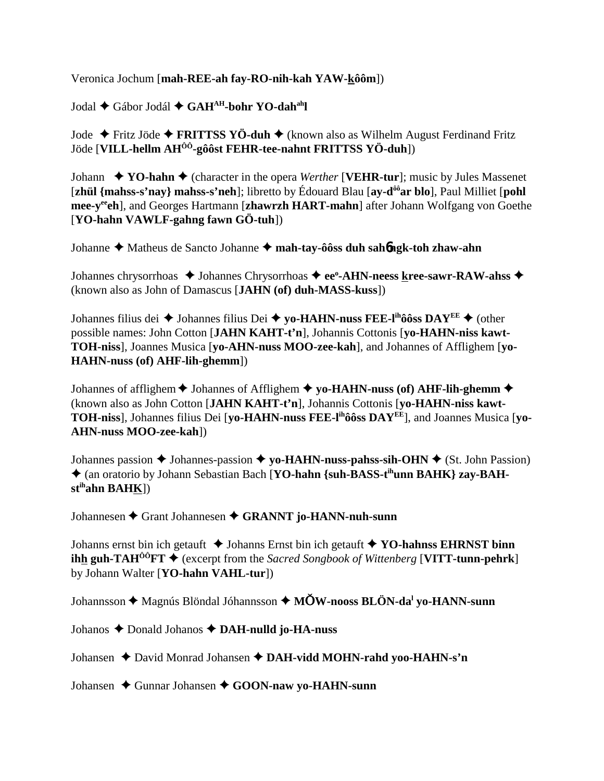Veronica Jochum [**mah-REE-ah fay-RO-nih-kah YAW-kôôm**])

Jodal Gábor Jodál **GAHAH-bohr YO-dahahl**

Jode Fritz Jöde **FRITTSS YÖ-duh** (known also as Wilhelm August Ferdinand Fritz Jöde [**VILL-hellm AHÔÔ-gôôst FEHR-tee-nahnt FRITTSS YÖ-duh**])

Johann  $\blacklozenge$  **YO-hahn**  $\blacklozenge$  (character in the opera *Werther* [**VEHR-tur**]; music by Jules Massenet [**zhül {mahss-s'nay} mahss-s'neh**]; libretto by Édouard Blau [**ay-dôôar blo**], Paul Milliet [**pohl mee-yeeeh**], and Georges Hartmann [**zhawrzh HART-mahn**] after Johann Wolfgang von Goethe [**YO-hahn VAWLF-gahng fawn GÖ-tuh**])

Johanne ◆ Matheus de Sancto Johanne ◆ mah-tay-ôôss duh sah**6ngk-toh zhaw-ahn** 

Johannes chrysorrhoas  $\triangle$  Johannes Chrysorrhoas  $\triangle$  ee<sup>o</sup>-AHN-neess kree-sawr-RAW-ahss  $\triangle$ (known also as John of Damascus [**JAHN (of) duh-MASS-kuss**])

Johannes filius dei ◆ Johannes filius Dei ◆ yo-HAHN-nuss FEE-l<sup>ih</sup>ôôss DAY<sup>EE</sup> ◆ (other possible names: John Cotton [**JAHN KAHT-t'n**], Johannis Cottonis [**yo-HAHN-niss kawt-TOH-niss**], Joannes Musica [**yo-AHN-nuss MOO-zee-kah**], and Johannes of Afflighem [**yo-HAHN-nuss (of) AHF-lih-ghemm**])

Johannes of afflighem  $\blacklozenge$  Johannes of Afflighem  $\blacklozenge$  yo-HAHN-nuss (of) AHF-lih-ghemm  $\blacklozenge$ (known also as John Cotton [**JAHN KAHT-t'n**], Johannis Cottonis [**yo-HAHN-niss kawt-TOH-niss**], Johannes filius Dei [**yo-HAHN-nuss FEE-lihôôss DAYEE**], and Joannes Musica [**yo-AHN-nuss MOO-zee-kah**])

Johannes passion  $\triangleq$  Johannes-passion  $\triangleq$  yo-HAHN-nuss-pahss-sih-OHN  $\triangleq$  (St. John Passion) ◆ (an oratorio by Johann Sebastian Bach [**YO-hahn** {suh-BASS-t<sup>ih</sup>unn BAHK} zay-BAH**stihahn BAHK**])

Johannesen Grant Johannesen **GRANNT jo-HANN-nuh-sunn**

Johanns ernst bin ich getauft  $\triangle$  Johanns Ernst bin ich getauft  $\triangle$  YO-hahnss EHRNST binn **ihh guh-TAH<sup>ôô</sup>FT**  $\blacklozenge$  (excerpt from the *Sacred Songbook of Wittenberg* [VITT-tunn-pehrk] by Johann Walter [**YO-hahn VAHL-tur**])

Johannsson Magnús Blöndal Jóhannsson **MW-nooss BLÖN-dal yo-HANN-sunn**

Johanos Donald Johanos **DAH-nulld jo-HA-nuss**

Johansen **→** David Monrad Johansen ◆ DAH-vidd MOHN-rahd voo-HAHN-s'n

Johansen ◆ Gunnar Johansen ◆ GOON-naw vo-HAHN-sunn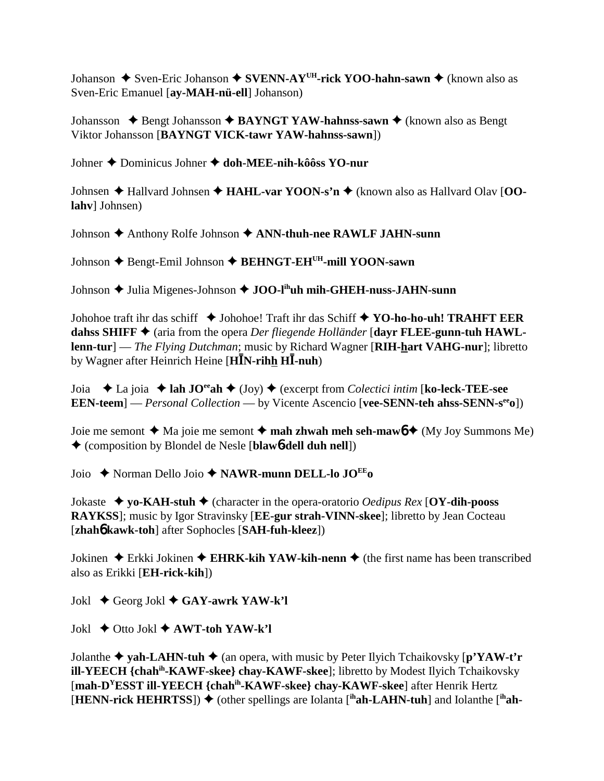Johanson  $\triangle$  Sven-Eric Johanson  $\triangle$  SVENN-AY<sup>UH</sup>-rick YOO-hahn-sawn  $\triangle$  (known also as Sven-Eric Emanuel [av-MAH-nü-ell] Johanson)

Johansson  $\triangle$  Bengt Johansson  $\triangle$  BAYNGT YAW-hahnss-sawn  $\triangle$  (known also as Bengt Viktor Johansson [BAYNGT VICK-tawr YAW-hahnss-sawn])

Johner ♦ Dominicus Johner ♦ doh-MEE-nih-kôôss YO-nur

Johnsen  $\triangle$  Hallvard Johnsen  $\triangle$  HAHL-var YOON-s'n  $\triangle$  (known also as Hallvard Olav [OOlahv] Johnsen)

Johnson ♦ Anthony Rolfe Johnson ♦ ANN-thuh-nee RAWLF JAHN-sunn

Johnson ♦ Bengt-Emil Johnson ♦ BEHNGT-EH<sup>UH</sup>-mill YOON-sawn

Johnson  $\triangle$  Julia Migenes-Johnson  $\triangle$  JOO-l<sup>ih</sup>uh mih-GHEH-nuss-JAHN-sunn

Johohoe traft ihr das schiff  $\triangleq$  Johohoe! Traft ihr das Schiff  $\triangleq$  YO-ho-ho-uh! TRAHFT EER dahss SHIFF  $\blacklozenge$  (aria from the opera *Der fliegende Holländer* [dayr FLEE-gunn-tuh HAWL**lenn-tur**] — *The Flying Dutchman*; music by Richard Wagner [RIH-hart VAHG-nur]; libretto by Wagner after Heinrich Heine [ $\textbf{H}$ **IN-rihh HI-nuh**)

Joia  $\triangle$  La joia  $\triangle$  lah JO<sup>ee</sup>ah  $\triangle$  (Joy)  $\triangle$  (excerpt from *Colectici intim* [ko-leck-TEE-see **EEN-teem**  $\text{--}$  *Personal Collection* — by Vicente Ascencio [vee-SENN-teh ahss-SENN-s<sup>ee</sup>o])

Joie me semont  $\triangleleft$  Ma joie me semont  $\triangleleft$  mah zhwah meh seh-maw $\phi \triangleleft (My$  Joy Summons Me) ♦ (composition by Blondel de Nesle [blaw 6-dell duh nell])

Joio  $\triangle$  Norman Dello Joio  $\triangle$  NAWR-munn DELL-lo JO<sup>EE</sup> o

Jokaste  $\bullet$  yo-KAH-stuh  $\bullet$  (character in the opera-oratorio *Oedipus Rex* [OY-dih-pooss RAYKSS]; music by Igor Stravinsky [EE-gur strah-VINN-skee]; libretto by Jean Cocteau [zhah**6** kawk-toh] after Sophocles [SAH-fuh-kleez])

Jokinen  $\triangle$  Erkki Jokinen  $\triangle$  EHRK-kih YAW-kih-nenn  $\triangle$  (the first name has been transcribed also as Erikki [**EH-rick-kih**])

Jokl  $\blacklozenge$  Georg Jokl  $\blacklozenge$  GAY-awrk YAW-k'l

Jokl  $\blacklozenge$  Otto Jokl  $\blacklozenge$  AWT-toh YAW-k'l

Jolanthe  $\triangle$  vah-LAHN-tuh  $\triangle$  (an opera, with music by Peter Ilyich Tchaikovsky [p'YAW-t'r ill-YEECH {chah<sup>ih</sup>-KAWF-skee} chay-KAWF-skee]; libretto by Modest Ilyich Tchaikovsky [mah-D<sup>Y</sup>ESST ill-YEECH {chah<sup>ih</sup>-KAWF-skee} chay-KAWF-skee] after Henrik Hertz [HENN-rick HEHRTSS])  $\blacklozenge$  (other spellings are Iolanta [ihah-LAHN-tuh] and Iolanthe [ihah-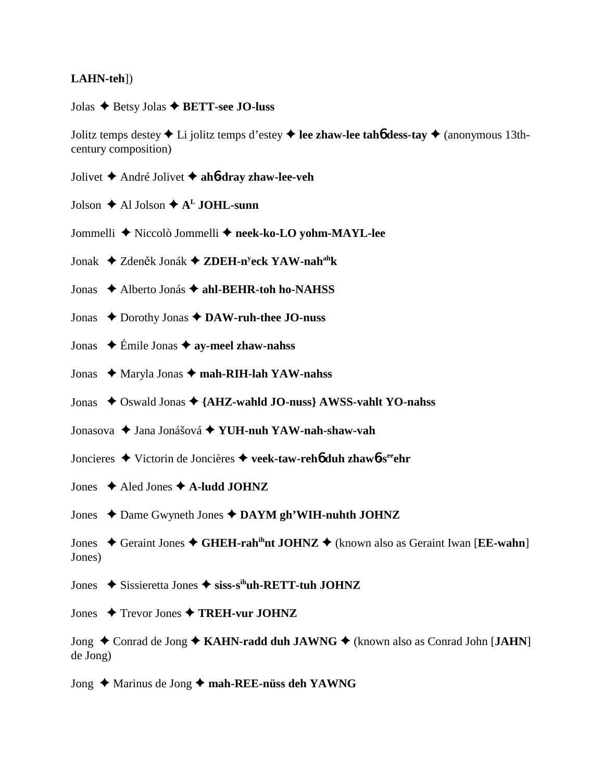## **LAHN-teh**])

Jolas Betsy Jolas **BETT-see JO-luss**

Jolitz temps destey Li jolitz temps d'estey **lee zhaw-lee tah**6 **dess-tay** (anonymous 13thcentury composition)

- Jolivet André Jolivet  **ah**6**-dray zhaw-lee-veh**
- Jolson  $\triangle$  Al Jolson  $\triangle$  A<sup>L</sup> JOHL-sunn
- Jommelli Niccolò Jommelli **neek-ko-LO yohm-MAYL-lee**
- Jonak ◆ Zdeněk Jonák ◆ ZDEH-n<sup>y</sup>eck YAW-nah<sup>ah</sup>k
- Jonas Alberto Jonás **ahl-BEHR-toh ho-NAHSS**
- Jonas ◆ Dorothy Jonas **◆ DAW-ruh-thee JO-nuss**
- Jonas Émile Jonas **ay-meel zhaw-nahss**
- Jonas Maryla Jonas **mah-RIH-lah YAW-nahss**
- Jonas ◆ Oswald Jonas ◆ {AHZ-wahld JO-nuss} AWSS-vahlt YO-nahss
- Jonasova Jana Jonášová **YUH-nuh YAW-nah-shaw-vah**
- Joncieres Victorin de Joncières **veek-taw-reh**6 **duh zhaw**6**-seeehr**
- Jones **→** Aled Jones **→ A-ludd JOHNZ**
- Jones ◆ Dame Gwyneth Jones ◆ DAYM gh'WIH-nuhth JOHNZ
- Jones ◆ Geraint Jones ◆ GHEH-rah<sup>ih</sup>nt JOHNZ ◆ (known also as Geraint Iwan [**EE-wahn**] Jones)
- Jones **→** Sissieretta Jones → siss-s<sup>ih</sup>uh-RETT-tuh JOHNZ
- Jones  $\rightarrow$  Trevor Jones  $\rightarrow$  TREH-vur JOHNZ
- Jong ◆ Conrad de Jong ◆ KAHN-radd duh JAWNG ◆ (known also as Conrad John [JAHN] de Jong)
- Jong ◆ Marinus de Jong ◆ mah-REE-nüss deh YAWNG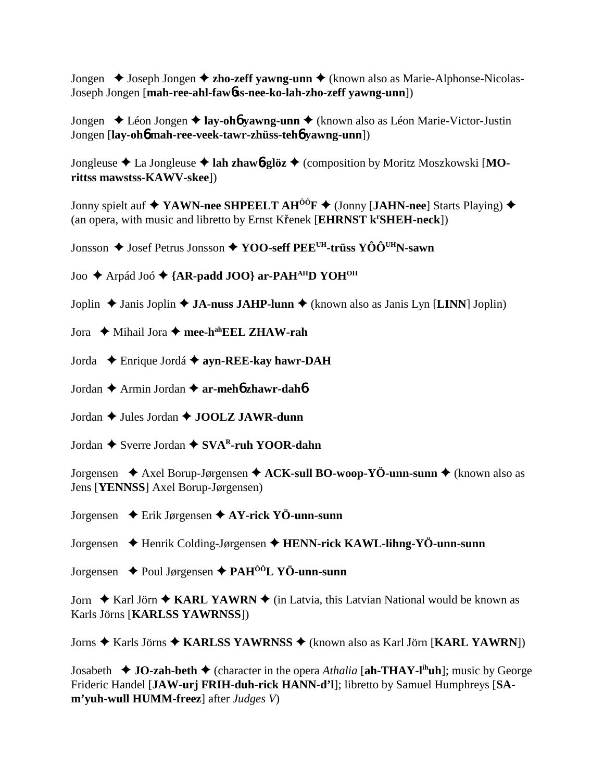Jongen **→** Joseph Jongen **→ zho-zeff yawng-unn →** (known also as Marie-Alphonse-Nicolas-Joseph Jongen [**mah-ree-ahl-faw**6**ss-nee-ko-lah-zho-zeff yawng-unn**])

Jongen Léon Jongen **lay-oh**6 **yawng-unn** (known also as Léon Marie-Victor-Justin Jongen [**lay-oh**6 **mah-ree-veek-tawr-zhüss-teh**6 **yawng-unn**])

Jongleuse La Jongleuse **lah zhaw**6**-glöz** (composition by Moritz Moszkowski [**MOrittss mawstss-KAWV-skee**])

Jonny spielt auf  $\blacklozenge$  YAWN-nee SHPEELT AH<sup>ÔÔ</sup>F  $\blacklozenge$  (Jonny [JAHN-nee] Starts Playing)  $\blacklozenge$ (an opera, with music and libretto by Ernst Křenek [EHRNST k<sup>r</sup>SHEH-neck])

Jonsson ◆ Josef Petrus Jonsson ◆ YOO-seff PEE<sup>UH</sup>-trüss YÔÔ<sup>UH</sup>N-sawn

Joo ◆ Arpád Joó ◆ {AR-padd JOO} ar-PAH<sup>AH</sup>D YOH<sup>OH</sup>

Joplin  $\triangle$  Janis Joplin  $\triangle$  **JA-nuss JAHP-lunn**  $\triangle$  (known also as Janis Lyn [**LINN**] Joplin)

Jora  $\rightarrow$  Mihail Jora  $\rightarrow$  mee-h<sup>ah</sup>EEL ZHAW-rah

Jorda Enrique Jordá **ayn-REE-kay hawr-DAH**

Jordan Armin Jordan **ar-meh**6 **zhawr-dah**6

Jordan  $\triangle$  Jules Jordan  $\triangle$  **JOOLZ JAWR-dunn** 

Jordan **→** Sverre Jordan **→ SVA<sup>R</sup>-ruh YOOR-dahn** 

Jorgensen **→** Axel Borup-Jørgensen → **ACK-sull BO-woop-YÖ-unn-sunn** → (known also as Jens [**YENNSS**] Axel Borup-Jørgensen)

Jorgensen Erik Jørgensen **AY-rick YÖ-unn-sunn**

Jorgensen Henrik Colding-Jørgensen **HENN-rick KAWL-lihng-YÖ-unn-sunn**

Jorgensen Poul Jørgensen **PAHÔÔL YÖ-unn-sunn**

Jorn  $\triangle$  Karl Jörn  $\triangle$  KARL YAWRN  $\triangle$  (in Latvia, this Latvian National would be known as Karls Jörns [**KARLSS YAWRNSS**])

Jorns Karls Jörns **KARLSS YAWRNSS** (known also as Karl Jörn [**KARL YAWRN**])

Josabeth  $\blacklozenge$  **JO-zah-beth**  $\blacklozenge$  (character in the opera *Athalia* [ah-THAY-l<sup>ih</sup>uh]; music by George Frideric Handel [**JAW-urj FRIH-duh-rick HANN-d'l**]; libretto by Samuel Humphreys [**SAm'yuh-wull HUMM-freez**] after *Judges V*)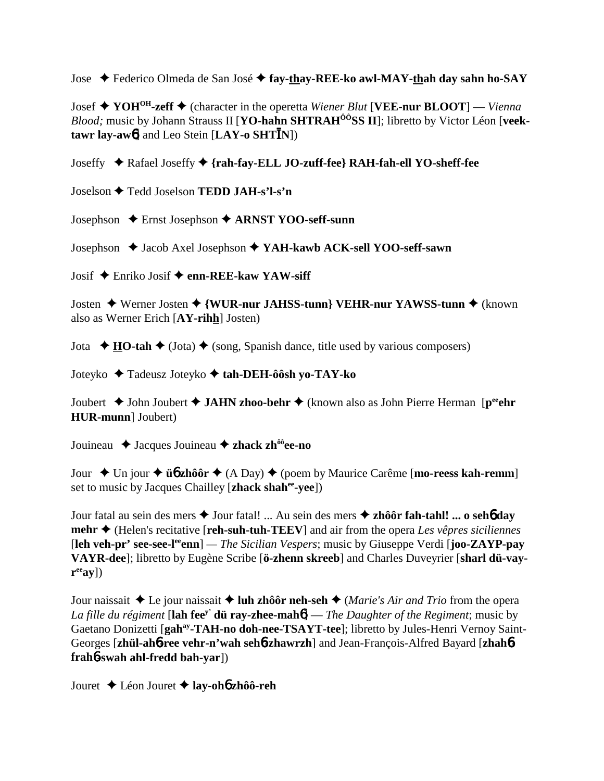Jose Federico Olmeda de San José **fay-thay-REE-ko awl-MAY-thah day sahn ho-SAY**

Josef **YOHOH-zeff** (character in the operetta *Wiener Blut* [**VEE-nur BLOOT**] — *Vienna* Blood; music by Johann Strauss II [YO-hahn SHTRAH<sup>ÔÔ</sup>SS II]; libretto by Victor Léon [veek**tawr lay-aw**6] and Leo Stein [**LAY-o SHTN**])

Joseffy Rafael Joseffy **{rah-fay-ELL JO-zuff-fee} RAH-fah-ell YO-sheff-fee**

Joselson Tedd Joselson **TEDD JAH-s'l-s'n**

Josephson Ernst Josephson **ARNST YOO-seff-sunn**

Josephson  $\triangle$  Jacob Axel Josephson  $\triangle$  YAH-kawb ACK-sell YOO-seff-sawn

Josif Enriko Josif **enn-REE-kaw YAW-siff**

Josten ◆ Werner Josten ◆ {WUR-nur JAHSS-tunn} VEHR-nur YAWSS-tunn ◆ (known also as Werner Erich [**AY-rihh**] Josten)

Jota  $\rightarrow \textbf{HO-tah} \rightarrow$  (Jota)  $\rightarrow$  (song, Spanish dance, title used by various composers)

Joteyko Tadeusz Joteyko **tah-DEH-ôôsh yo-TAY-ko**

Joubert **→** John Joubert **→ JAHN zhoo-behr →** (known also as John Pierre Herman [p<sup>ee</sup>ehr **HUR-munn**] Joubert)

Jouineau  $\triangle$  Jacques Jouineau  $\triangle$  zhack zh<sup>ôô</sup>ee-no

Jour ◆ Un jour ◆ **ü** $\phi$  **zhôôr** ◆ (A Day) ◆ (poem by Maurice Carême [**mo-reess kah-remm**] set to music by Jacques Chailley [**zhack shahee-yee**])

Jour fatal au sein des mers Jour fatal! ... Au sein des mers **zhôôr fah-tahl! ... o seh**6 **day mehr** (Helen's recitative [**reh-suh-tuh-TEEV**] and air from the opera *Les vêpres siciliennes* [**leh veh-pr' see-see-leeenn**] *— The Sicilian Vespers*; music by Giuseppe Verdi [**joo-ZAYP-pay VAYR-dee**]; libretto by Eugène Scribe [**ö-zhenn skreeb**] and Charles Duveyrier [**sharl dü-vay-** $\mathbf{r}^{\text{ee}}$ **ay**])

Jour naissait  $\triangle$  Le jour naissait  $\triangle$  luh zhôôr neh-seh  $\triangle$  (*Marie's Air and Trio* from the opera *La fille du régiment* [**lah feey' dü ray-zhee-mah**6] — *The Daughter of the Regiment*; music by Gaetano Donizetti [**gahay-TAH-no doh-nee-TSAYT-tee**]; libretto by Jules-Henri Vernoy Saint-Georges [**zhül-ah**6**-ree vehr-n'wah seh**6**-zhawrzh**] and Jean-François-Alfred Bayard [**zhah**6 **frah**6**-swah ahl-fredd bah-yar**])

Jouret Léon Jouret **lay-oh**6 **zhôô-reh**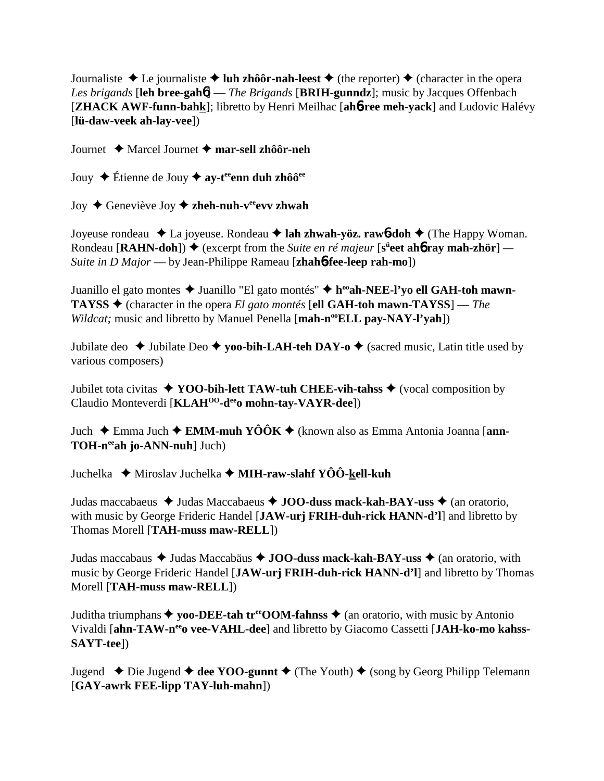Journaliste  $\triangle$  Le journaliste  $\triangle$  luh zhôôr-nah-leest  $\triangle$  (the reporter)  $\triangle$  (character in the opera *Les brigands* [**leh bree-gah**6] — *The Brigands* [**BRIH-gunndz**]; music by Jacques Offenbach [**ZHACK AWF-funn-bahk**]; libretto by Henri Meilhac [**ah**6**-ree meh-yack**] and Ludovic Halévy [**lü-daw-veek ah-lay-vee**])

Journet Marcel Journet **mar-sell zhôôr-neh**

Jouy **→** Étienne de Jouy **→ ay-t<sup>ee</sup>enn duh zhôô<sup>ee</sup>** 

Joy **→** Geneviève Joy **→ zheh-nuh-v<sup>ee</sup>evv zhwah** 

Joyeuse rondeau La joyeuse. Rondeau **lah zhwah-yöz. raw**6**-doh** (The Happy Woman. Rondeau  $[\text{RAHN-doh}]$   $\rightarrow$  (excerpt from the *Suite en ré majeur*  $[s^{\text{ii}}\text{eet}\text{ ah}\text{f}$  **ray mah-zhör**] — *Suite in D Major* — by Jean-Philippe Rameau [**zhah**6**-fee-leep rah-mo**])

Juanillo el gato montes ◆ Juanillo "El gato montés" ◆ h<sup>oo</sup>ah-NEE-l'yo ell GAH-toh mawn-**TAYSS**  $\triangle$  (character in the opera *El gato montés* [ell GAH-toh mawn-TAYSS] — *The Wildcat;* music and libretto by Manuel Penella [mah-n<sup>oo</sup>ELL pay-NAY-l'yah])

Jubilate deo  $\triangle$  Jubilate Deo  $\triangle$  yoo-bih-LAH-teh DAY-o  $\triangle$  (sacred music, Latin title used by various composers)

Jubilet tota civitas **YOO-bih-lett TAW-tuh CHEE-vih-tahss** (vocal composition by Claudio Monteverdi [**KLAH<sup>00</sup>-d<sup>ee</sup>o mohn-tay-VAYR-dee**])

Juch Emma Juch **EMM-muh YÔÔK** (known also as Emma Antonia Joanna [**ann-TOH-neeah jo-ANN-nuh**] Juch)

Juchelka Miroslav Juchelka **MIH-raw-slahf YÔÔ-kell-kuh**

Judas maccabaeus **→** Judas Maccabaeus → **JOO-duss mack-kah-BAY-uss** → (an oratorio, with music by George Frideric Handel [**JAW-urj FRIH-duh-rick HANN-d'l**] and libretto by Thomas Morell [**TAH-muss maw-RELL**])

Judas maccabaus Judas Maccabäus **JOO-duss mack-kah-BAY-uss** (an oratorio, with music by George Frideric Handel [**JAW-urj FRIH-duh-rick HANN-d'l**] and libretto by Thomas Morell [**TAH-muss maw-RELL**])

Juditha triumphans  $\triangle$  yoo-DEE-tah tr<sup>ee</sup>OOM-fahnss  $\triangle$  (an oratorio, with music by Antonio Vivaldi [ahn-TAW-n<sup>ee</sup>o vee-VAHL-dee] and libretto by Giacomo Cassetti [JAH-ko-mo kahss-**SAYT-tee**])

Jugend  $\triangle$  Die Jugend  $\triangle$  dee YOO-gunnt  $\triangle$  (The Youth)  $\triangle$  (song by Georg Philipp Telemann [**GAY-awrk FEE-lipp TAY-luh-mahn**])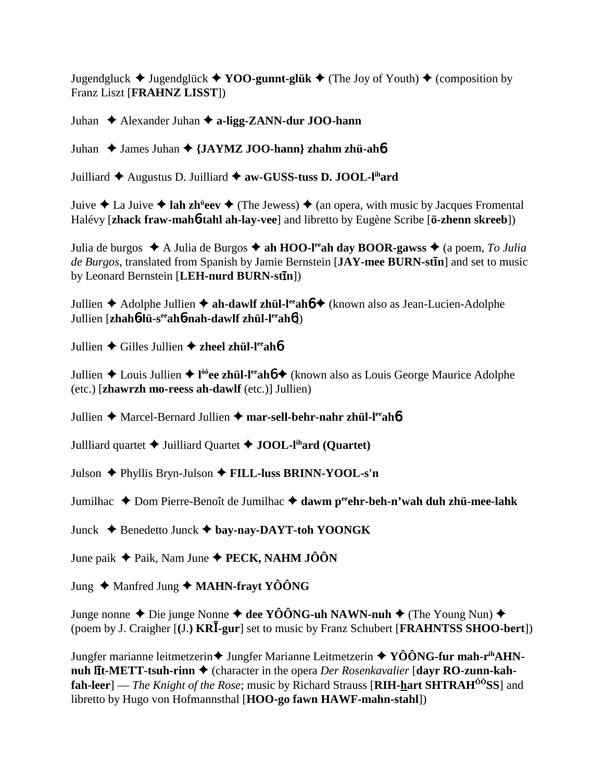Jugendgluck  $\blacklozenge$  Jugendglück  $\blacklozenge$  **YOO-gunnt-glük**  $\blacklozenge$  (The Joy of Youth)  $\blacklozenge$  (composition by Franz Liszt [**FRAHNZ LISST**])

Juhan Alexander Juhan **a-ligg-ZANN-dur JOO-hann**

Juhan ◆ James Juhan ◆ {JAYMZ JOO-hann} zhahm zhü-ah**6** 

Juilliard Augustus D. Juilliard **aw-GUSS-tuss D. JOOL-lihard**

Juive ◆ La Juive ◆ lah zh<sup>ü</sup>eev ◆ (The Jewess) ◆ (an opera, with music by Jacques Fromental Halévy [**zhack fraw-mah**6**-tahl ah-lay-vee**] and libretto by Eugène Scribe [**ö-zhenn skreeb**])

Julia de burgos  $\triangle$  A Julia de Burgos  $\triangle$  ah HOO-l<sup>ee</sup>ah day BOOR-gawss  $\triangle$  (a poem, *To Julia* de Burgos, translated from Spanish by Jamie Bernstein [JAY-mee BURN-stin] and set to music by Leonard Bernstein [LEH-nurd BURN-stin])

Jullien **→** Adolphe Jullien **→ ah-dawlf zhül-l<sup>ee</sup>ahó →** (known also as Jean-Lucien-Adolphe Jullien [**zhah**6**-lü-seeah**6**-nah-dawlf zhül-leeah**6])

Jullien **→** Gilles Jullien → zheel zhül-l<sup>ee</sup>ah**6** 

Jullien ◆ Louis Jullien ◆ l<sup>ôô</sup>ee zhül-l<sup>ee</sup>ah**6** ◆ (known also as Louis George Maurice Adolphe (etc.) [**zhawrzh mo-reess ah-dawlf** (etc.)] Jullien)

Jullien **→** Marcel-Bernard Jullien → mar-sell-behr-nahr zhül-l<sup>ee</sup>ah**6** 

Jullliard quartet  $\triangle$  Juilliard Quartet  $\triangle$  **JOOL-l<sup>ih</sup>ard (Quartet)** 

Julson Phyllis Bryn-Julson **FILL-luss BRINN-YOOL-s'n**

Jumilhac ◆ Dom Pierre-Benoît de Jumilhac ◆ dawm peehr-beh-n'wah duh zhü-mee-lahk

Junck Benedetto Junck **bay-nay-DAYT-toh YOONGK**

June paik Paik, Nam June **PECK, NAHM JÔÔN**

Jung  $\triangle$  Manfred Jung  $\triangle$  **MAHN-frayt YÔÔNG** 

Junge nonne ◆ Die junge Nonne ◆ dee YÔÔNG-uh NAWN-nuh ◆ (The Young Nun) ◆ (poem by J. Craigher [**(**J.**) KR-gur**] set to music by Franz Schubert [**FRAHNTSS SHOO-bert**])

Jungfer marianne leitmetzerin **↓** Jungfer Marianne Leitmetzerin ◆ YÔÔNG-fur mah-r<sup>ih</sup>AHN**nuh līt-METT-tsuh-rinn ♦** (character in the opera *Der Rosenkavalier* [**dayr RO-zunn-kahfah-leer**] — *The Knight of the Rose*; music by Richard Strauss [**RIH-hart SHTRAHÔÔSS**] and libretto by Hugo von Hofmannsthal [**HOO-go fawn HAWF-mahn-stahl**])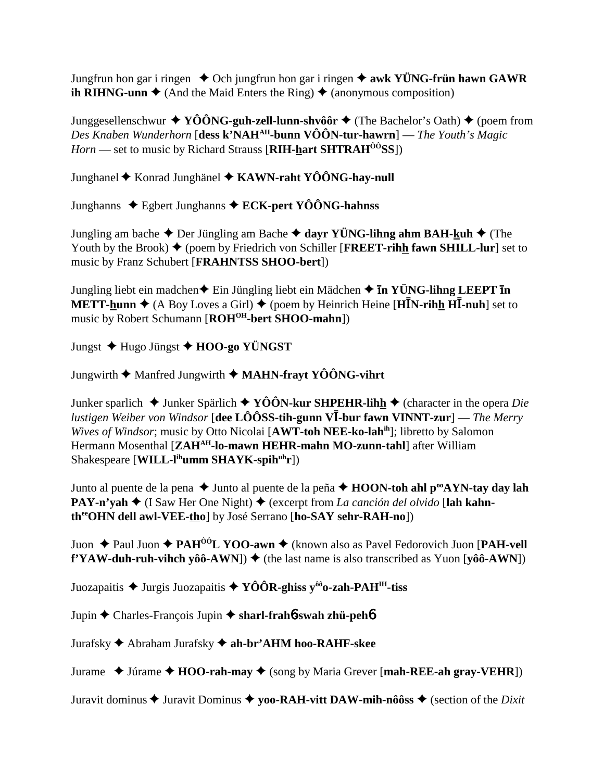Jungfrun hon gar i ringen  $\triangle$  Och jungfrun hon gar i ringen  $\triangle$  awk YÜNG-frün hawn GAWR **ih RIHNG-unn**  $\blacklozenge$  (And the Maid Enters the Ring)  $\blacklozenge$  (anonymous composition)

Junggesellenschwur  $\blacklozenge$  YÔÔNG-guh-zell-lunn-shvôôr  $\blacklozenge$  (The Bachelor's Oath)  $\blacklozenge$  (poem from Des Knaben Wunderhorn [dess k'NAH<sup>AH</sup>-bunn VÔÔN-tur-hawrn] — The Youth's Magic *Horn* — set to music by Richard Strauss [RIH-hart SHTRAH<sup> $\hat{o}$ *i*</sub> $\hat{o}$ SS])</sup>

Junghanel ♦ Konrad Junghänel ♦ KAWN-raht YÔÔNG-hay-null

Junghanns  $\triangle$  Egbert Junghanns  $\triangle$  ECK-pert YOONG-hahnss

Jungling am bache  $\triangle$  Der Jüngling am Bache  $\triangle$  dayr YÜNG-lihng ahm BAH-kuh  $\triangle$  (The Youth by the Brook)  $\blacklozenge$  (poem by Friedrich von Schiller [FREET-rihh fawn SHILL-lur] set to music by Franz Schubert [FRAHNTSS SHOO-bert])

Jungling liebt ein madchen $\triangle$  Ein Jüngling liebt ein Mädchen  $\triangle$  In YÜNG-lihng LEEPT In **METT-hunn**  $\blacklozenge$  (A Boy Loves a Girl)  $\blacklozenge$  (poem by Heinrich Heine [HIN-rihh HI-nuh] set to music by Robert Schumann [ROH<sup>OH</sup>-bert SHOO-mahn])

Jungst  $\blacklozenge$  Hugo Jüngst  $\blacklozenge$  HOO-go YÜNGST

Jungwirth  $\blacklozenge$  Manfred Jungwirth  $\blacklozenge$  MAHN-frayt YOONG-vihrt

Junker sparlich  $\triangleq$  Junker Spärlich  $\triangleq$  YOON-kur SHPEHR-lihh  $\triangleq$  (character in the opera *Die lustigen Weiber von Windsor* [dee LÔÔSS-tih-gunn  $V\bar{I}$ -bur fawn VINNT-zur] — *The Merry* Wives of Windsor; music by Otto Nicolai [AWT-toh NEE-ko-lahih]; libretto by Salomon Hermann Mosenthal [ZAH<sup>AH</sup>-lo-mawn HEHR-mahn MO-zunn-tahl] after William Shakespeare [WILL-l<sup>ih</sup>umm SHAYK-spih<sup>uh</sup>r])

Junto al puente de la pena → Junto al puente de la peña → HOON-toh ahl p<sup>oo</sup>AYN-tay day lah **PAY-n'yah**  $\triangle$  (I Saw Her One Night)  $\triangle$  (excerpt from *La canción del olvido* [lah kahntheorem dell awl-VEE-thol by José Serrano [ho-SAY sehr-RAH-no])

Juon  $\triangle$  Paul Juon  $\triangle$  PAH<sup>00</sup>L YOO-awn  $\triangle$  (known also as Pavel Fedorovich Juon [PAH-vell] f'YAW-duh-ruh-vihch yôô-AWN])  $\blacklozenge$  (the last name is also transcribed as Yuon [yôô-AWN])

Juozapaitis  $\triangle$  Jurgis Juozapaitis  $\triangle$  YÔÔR-ghiss y<sup>ôô</sup>o-zah-PAH<sup>IH</sup>-tiss

Jupin ← Charles-François Jupin ← sharl-frahb-swah zhü-pehb

Jurafsky ◆ Abraham Jurafsky ◆ ah-br'AHM hoo-RAHF-skee

Jurame  $\triangle$  Júrame  $\triangle$  HOO-rah-may  $\triangle$  (song by Maria Grever [mah-REE-ah gray-VEHR])

Juravit dominus  $\triangle$  Juravit Dominus  $\triangle$  yoo-RAH-vitt DAW-mih-nôôss  $\triangle$  (section of the *Dixit*